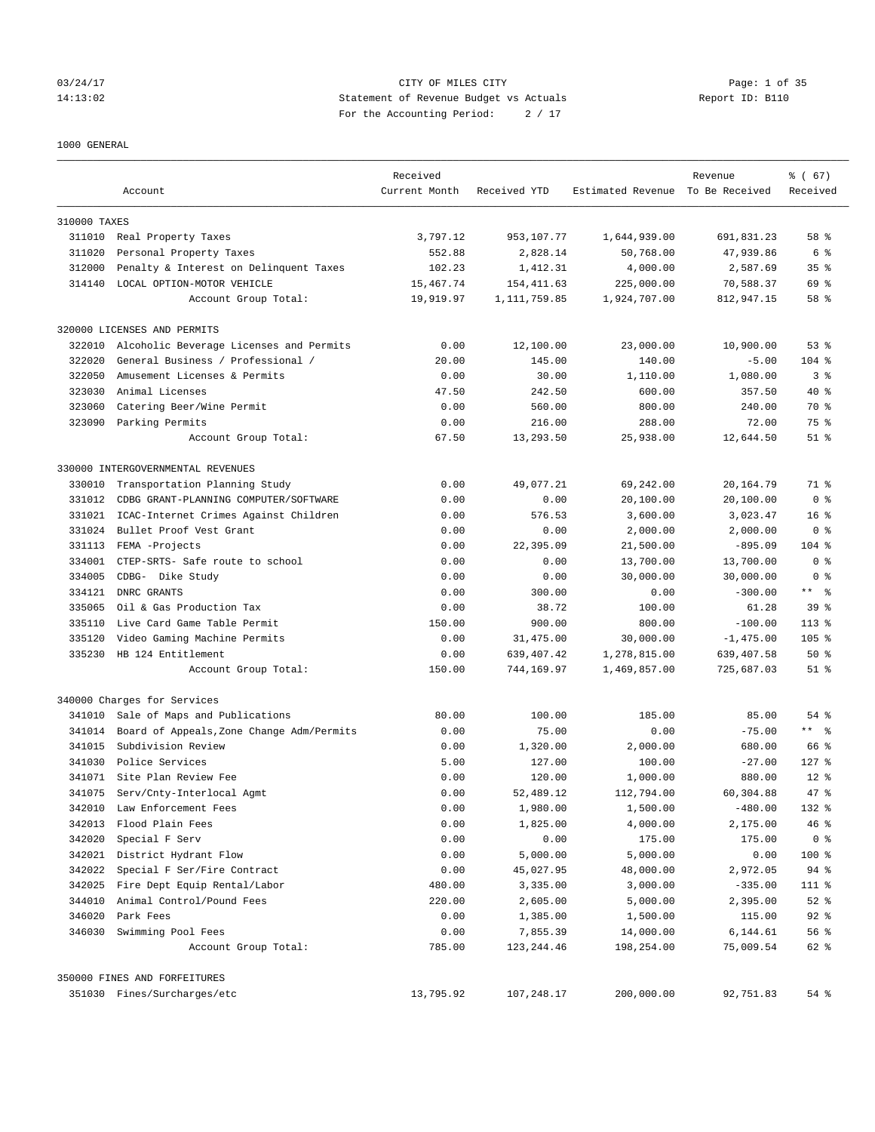# 03/24/17 Page: 1 of 35 14:13:02 Statement of Revenue Budget vs Actuals Report ID: B110 For the Accounting Period: 2 / 17

1000 GENERAL

|              | Account                                   | Received<br>Current Month | Received YTD   | Estimated Revenue To Be Received | Revenue     | % (67)<br>Received |
|--------------|-------------------------------------------|---------------------------|----------------|----------------------------------|-------------|--------------------|
| 310000 TAXES |                                           |                           |                |                                  |             |                    |
|              | 311010 Real Property Taxes                | 3,797.12                  | 953,107.77     | 1,644,939.00                     | 691,831.23  | 58 %               |
| 311020       | Personal Property Taxes                   | 552.88                    | 2,828.14       | 50,768.00                        | 47,939.86   | 6 %                |
| 312000       | Penalty & Interest on Delinquent Taxes    | 102.23                    | 1,412.31       | 4,000.00                         | 2,587.69    | 35 <sup>8</sup>    |
| 314140       | LOCAL OPTION-MOTOR VEHICLE                | 15,467.74                 | 154, 411.63    | 225,000.00                       | 70,588.37   | 69 %               |
|              | Account Group Total:                      | 19,919.97                 | 1, 111, 759.85 | 1,924,707.00                     | 812,947.15  | 58 %               |
|              | 320000 LICENSES AND PERMITS               |                           |                |                                  |             |                    |
| 322010       | Alcoholic Beverage Licenses and Permits   | 0.00                      | 12,100.00      | 23,000.00                        | 10,900.00   | 53%                |
| 322020       | General Business / Professional /         | 20.00                     | 145.00         | 140.00                           | $-5.00$     | $104$ %            |
| 322050       | Amusement Licenses & Permits              | 0.00                      | 30.00          | 1,110.00                         | 1,080.00    | 3 <sup>8</sup>     |
| 323030       | Animal Licenses                           | 47.50                     | 242.50         | 600.00                           | 357.50      | 40 %               |
| 323060       | Catering Beer/Wine Permit                 | 0.00                      | 560.00         | 800.00                           | 240.00      | 70 %               |
| 323090       | Parking Permits                           | 0.00                      | 216.00         | 288.00                           | 72.00       | 75 %               |
|              | Account Group Total:                      | 67.50                     | 13,293.50      | 25,938.00                        | 12,644.50   | $51$ $\frac{6}{3}$ |
|              | 330000 INTERGOVERNMENTAL REVENUES         |                           |                |                                  |             |                    |
| 330010       | Transportation Planning Study             | 0.00                      | 49,077.21      | 69,242.00                        | 20,164.79   | 71 %               |
| 331012       | CDBG GRANT-PLANNING COMPUTER/SOFTWARE     | 0.00                      | 0.00           | 20,100.00                        | 20,100.00   | 0 <sup>8</sup>     |
| 331021       | ICAC-Internet Crimes Against Children     | 0.00                      | 576.53         | 3,600.00                         | 3,023.47    | 16 <sup>8</sup>    |
| 331024       | Bullet Proof Vest Grant                   | 0.00                      | 0.00           | 2,000.00                         | 2,000.00    | 0 <sup>8</sup>     |
| 331113       | FEMA -Projects                            | 0.00                      | 22,395.09      | 21,500.00                        | $-895.09$   | $104$ %            |
| 334001       | CTEP-SRTS- Safe route to school           | 0.00                      | 0.00           | 13,700.00                        | 13,700.00   | 0 <sup>8</sup>     |
| 334005       | CDBG- Dike Study                          | 0.00                      | 0.00           | 30,000.00                        | 30,000.00   | 0 <sup>8</sup>     |
| 334121       | DNRC GRANTS                               | 0.00                      | 300.00         | 0.00                             | $-300.00$   | $***$ $ -$         |
| 335065       | Oil & Gas Production Tax                  | 0.00                      | 38.72          | 100.00                           | 61.28       | 39 <sup>8</sup>    |
| 335110       | Live Card Game Table Permit               | 150.00                    | 900.00         | 800.00                           | $-100.00$   | $113$ %            |
| 335120       | Video Gaming Machine Permits              | 0.00                      | 31,475.00      | 30,000.00                        | $-1,475.00$ | $105$ %            |
| 335230       | HB 124 Entitlement                        | 0.00                      | 639, 407. 42   | 1,278,815.00                     | 639,407.58  | $50*$              |
|              | Account Group Total:                      | 150.00                    | 744,169.97     | 1,469,857.00                     | 725,687.03  | $51$ %             |
|              | 340000 Charges for Services               |                           |                |                                  |             |                    |
| 341010       | Sale of Maps and Publications             | 80.00                     | 100.00         | 185.00                           | 85.00       | 54 %               |
| 341014       | Board of Appeals, Zone Change Adm/Permits | 0.00                      | 75.00          | 0.00                             | $-75.00$    | $***$ $  -$        |
| 341015       | Subdivision Review                        | 0.00                      | 1,320.00       | 2,000.00                         | 680.00      | 66 %               |
| 341030       | Police Services                           | 5.00                      | 127.00         | 100.00                           | $-27.00$    | $127$ %            |
|              | 341071 Site Plan Review Fee               | 0.00                      | 120.00         | 1,000.00                         | 880.00      | $12*$              |
| 341075       | Serv/Cnty-Interlocal Agmt                 | 0.00                      | 52,489.12      | 112,794.00                       | 60,304.88   | 47.8               |
| 342010       | Law Enforcement Fees                      | 0.00                      | 1,980.00       | 1,500.00                         | $-480.00$   | 132 %              |
| 342013       | Flood Plain Fees                          | 0.00                      | 1,825.00       | 4,000.00                         | 2,175.00    | 46%                |
| 342020       | Special F Serv                            | 0.00                      | 0.00           | 175.00                           | 175.00      | 0 <sup>8</sup>     |
| 342021       | District Hydrant Flow                     | 0.00                      | 5,000.00       | 5,000.00                         | 0.00        | 100 %              |
| 342022       | Special F Ser/Fire Contract               | 0.00                      | 45,027.95      | 48,000.00                        | 2,972.05    | 94 %               |
| 342025       | Fire Dept Equip Rental/Labor              | 480.00                    | 3,335.00       | 3,000.00                         | $-335.00$   | 111 %              |
| 344010       | Animal Control/Pound Fees                 | 220.00                    | 2,605.00       | 5,000.00                         | 2,395.00    | $52$ $%$           |
| 346020       | Park Fees                                 | 0.00                      | 1,385.00       | 1,500.00                         | 115.00      | $92$ $%$           |
| 346030       | Swimming Pool Fees                        | 0.00                      | 7,855.39       | 14,000.00                        | 6,144.61    | 56%                |
|              | Account Group Total:                      | 785.00                    | 123, 244.46    | 198,254.00                       | 75,009.54   | 62 %               |
|              | 350000 FINES AND FORFEITURES              |                           |                |                                  |             |                    |
|              | 351030 Fines/Surcharges/etc               | 13,795.92                 | 107,248.17     | 200,000.00                       | 92,751.83   | 54 %               |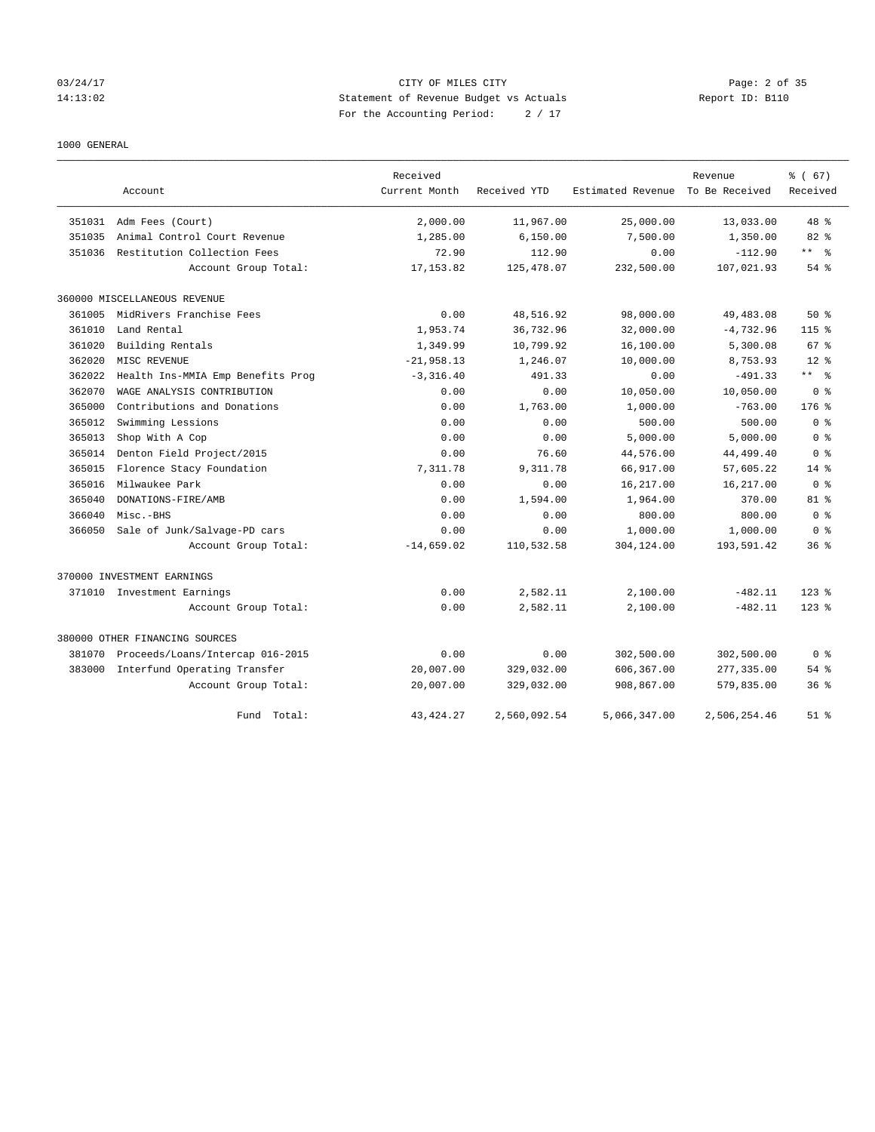# 03/24/17 CITY OF MILES CITY Page: 2 of 35 14:13:02 Statement of Revenue Budget vs Actuals Report ID: B110 For the Accounting Period: 2 / 17

#### 1000 GENERAL

|        |                                   | Received      |              |                   | Revenue        | % (67)          |
|--------|-----------------------------------|---------------|--------------|-------------------|----------------|-----------------|
|        | Account                           | Current Month | Received YTD | Estimated Revenue | To Be Received | Received        |
| 351031 | Adm Fees (Court)                  | 2,000.00      | 11,967.00    | 25,000.00         | 13,033.00      | 48 %            |
| 351035 | Animal Control Court Revenue      | 1,285.00      | 6,150.00     | 7,500.00          | 1,350.00       | 82 %            |
| 351036 | Restitution Collection Fees       | 72.90         | 112.90       | 0.00              | $-112.90$      | ** %            |
|        | Account Group Total:              | 17, 153.82    | 125, 478.07  | 232,500.00        | 107,021.93     | 54 %            |
|        | 360000 MISCELLANEOUS REVENUE      |               |              |                   |                |                 |
| 361005 | MidRivers Franchise Fees          | 0.00          | 48,516.92    | 98,000.00         | 49,483.08      | $50*$           |
| 361010 | Land Rental                       | 1,953.74      | 36,732.96    | 32,000.00         | $-4,732.96$    | $115$ $%$       |
| 361020 | Building Rentals                  | 1,349.99      | 10,799.92    | 16,100.00         | 5,300.08       | 67 <sup>8</sup> |
| 362020 | MISC REVENUE                      | $-21,958.13$  | 1,246.07     | 10,000.00         | 8,753.93       | $12*$           |
| 362022 | Health Ins-MMIA Emp Benefits Prog | $-3, 316.40$  | 491.33       | 0.00              | $-491.33$      | ** %            |
| 362070 | WAGE ANALYSIS CONTRIBUTION        | 0.00          | 0.00         | 10,050.00         | 10,050.00      | 0 <sup>8</sup>  |
| 365000 | Contributions and Donations       | 0.00          | 1,763.00     | 1,000.00          | $-763.00$      | $176$ $%$       |
| 365012 | Swimming Lessions                 | 0.00          | 0.00         | 500.00            | 500.00         | 0 <sup>8</sup>  |
| 365013 | Shop With A Cop                   | 0.00          | 0.00         | 5,000.00          | 5,000.00       | 0 <sup>8</sup>  |
| 365014 | Denton Field Project/2015         | 0.00          | 76.60        | 44,576.00         | 44,499.40      | 0 <sup>8</sup>  |
| 365015 | Florence Stacy Foundation         | 7.311.78      | 9,311.78     | 66,917.00         | 57,605.22      | $14*$           |
| 365016 | Milwaukee Park                    | 0.00          | 0.00         | 16,217.00         | 16,217.00      | 0 <sup>8</sup>  |
| 365040 | DONATIONS-FIRE/AMB                | 0.00          | 1,594.00     | 1,964.00          | 370.00         | $81$ %          |
| 366040 | Misc.-BHS                         | 0.00          | 0.00         | 800.00            | 800.00         | 0 <sup>8</sup>  |
| 366050 | Sale of Junk/Salvage-PD cars      | 0.00          | 0.00         | 1,000.00          | 1,000.00       | 0 <sup>8</sup>  |
|        | Account Group Total:              | $-14,659.02$  | 110,532.58   | 304,124.00        | 193,591.42     | 36 <sup>8</sup> |
|        | 370000 INVESTMENT EARNINGS        |               |              |                   |                |                 |
|        | 371010 Investment Earnings        | 0.00          | 2,582.11     | 2,100.00          | $-482.11$      | $123$ $%$       |
|        | Account Group Total:              | 0.00          | 2,582.11     | 2,100.00          | $-482.11$      | $123$ $%$       |
|        | 380000 OTHER FINANCING SOURCES    |               |              |                   |                |                 |
| 381070 | Proceeds/Loans/Intercap 016-2015  | 0.00          | 0.00         | 302,500.00        | 302,500.00     | 0 <sup>8</sup>  |
| 383000 | Interfund Operating Transfer      | 20,007.00     | 329,032.00   | 606,367.00        | 277,335.00     | 54 %            |
|        | Account Group Total:              | 20,007.00     | 329,032.00   | 908,867.00        | 579,835.00     | 36 <sup>8</sup> |
|        | Fund Total:                       | 43, 424. 27   | 2,560,092.54 | 5,066,347.00      | 2,506,254.46   | $51$ %          |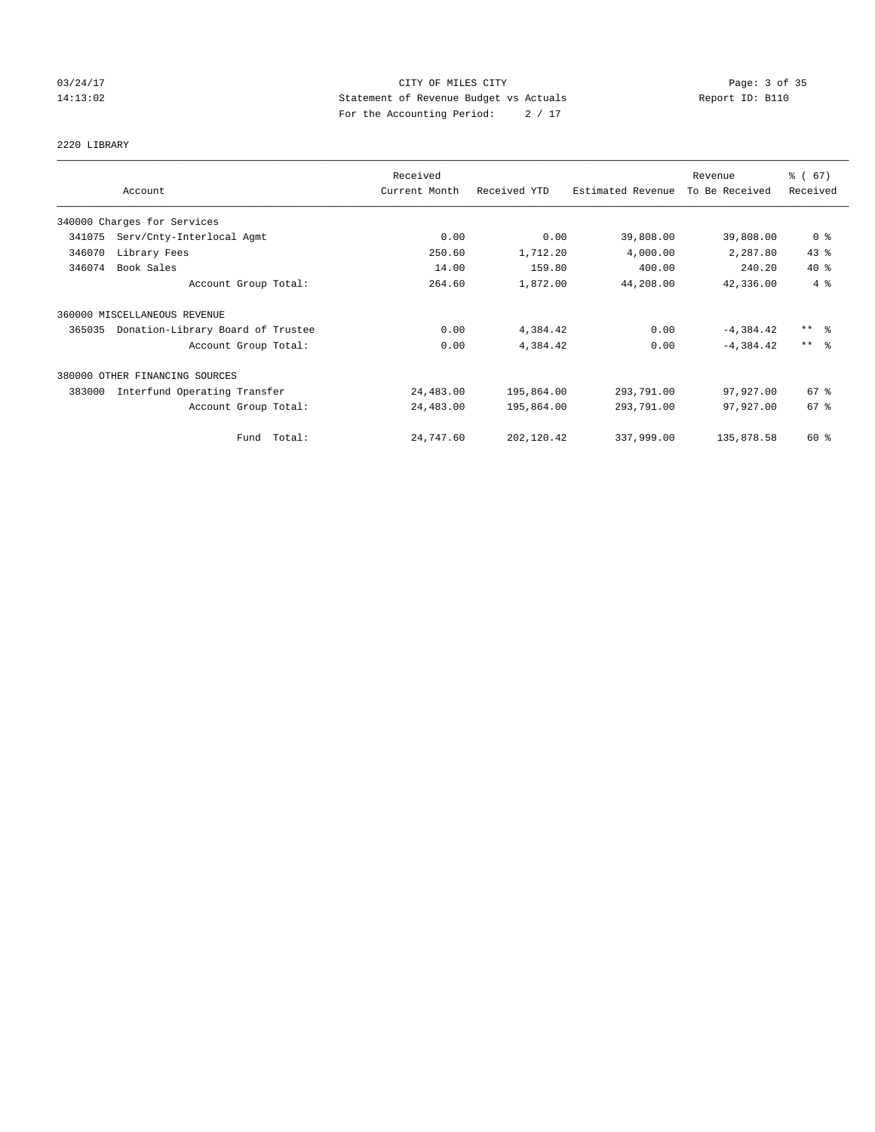# 03/24/17 Page: 3 of 35 14:13:02 Statement of Revenue Budget vs Actuals Report ID: B110 For the Accounting Period: 2 / 17

2220 LIBRARY

|        |                                   | Received      |              |                   | Revenue        | % (67)              |
|--------|-----------------------------------|---------------|--------------|-------------------|----------------|---------------------|
|        | Account                           | Current Month | Received YTD | Estimated Revenue | To Be Received | Received            |
|        | 340000 Charges for Services       |               |              |                   |                |                     |
| 341075 | Serv/Cnty-Interlocal Agmt         | 0.00          | 0.00         | 39,808.00         | 39,808.00      | 0 <sup>8</sup>      |
| 346070 | Library Fees                      | 250.60        | 1,712.20     | 4,000.00          | 2,287.80       | 43%                 |
| 346074 | Book Sales                        | 14.00         | 159.80       | 400.00            | 240.20         | $40*$               |
|        | Account Group Total:              | 264.60        | 1,872.00     | 44,208.00         | 42,336.00      | 4%                  |
|        | 360000 MISCELLANEOUS REVENUE      |               |              |                   |                |                     |
| 365035 | Donation-Library Board of Trustee | 0.00          | 4,384.42     | 0.00              | $-4,384.42$    | $***$ $\frac{6}{5}$ |
|        | Account Group Total:              | 0.00          | 4,384.42     | 0.00              | $-4, 384.42$   | $***$ $\frac{6}{5}$ |
|        | 380000 OTHER FINANCING SOURCES    |               |              |                   |                |                     |
| 383000 | Interfund Operating Transfer      | 24,483.00     | 195,864.00   | 293,791.00        | 97,927.00      | 67%                 |
|        | Account Group Total:              | 24,483.00     | 195,864.00   | 293,791.00        | 97,927.00      | 67 %                |
|        | Total:<br>Fund                    | 24,747.60     | 202,120.42   | 337,999.00        | 135,878.58     | 60 %                |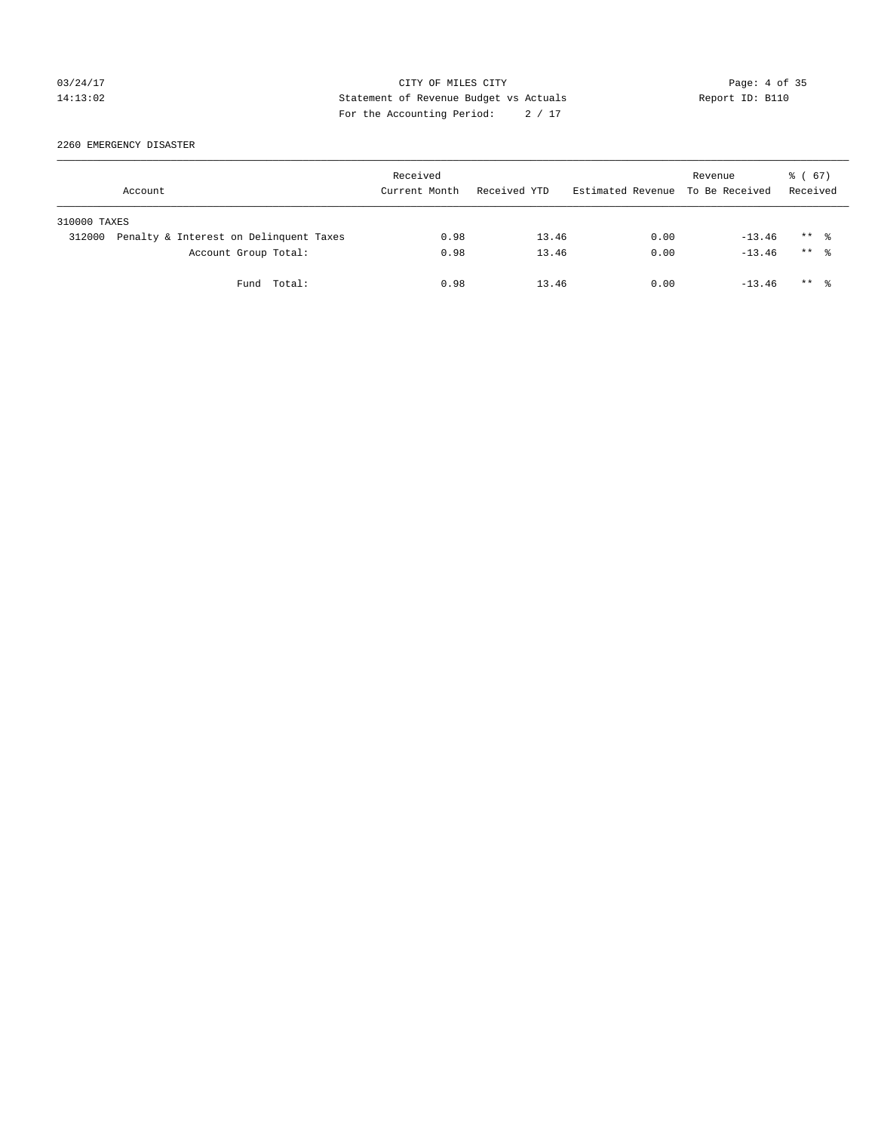# 03/24/17 Page: 4 of 35 14:13:02 Statement of Revenue Budget vs Actuals Report ID: B110 For the Accounting Period: 2 / 17

2260 EMERGENCY DISASTER

|              | Account                                | Received<br>Current Month | Received YTD | Estimated Revenue To Be Received | Revenue  | 8 ( 67)<br>Received  |
|--------------|----------------------------------------|---------------------------|--------------|----------------------------------|----------|----------------------|
| 310000 TAXES |                                        |                           |              |                                  |          |                      |
| 312000       | Penalty & Interest on Delinquent Taxes | 0.98                      | 13.46        | 0.00                             | $-13.46$ | $***$ %              |
|              | Account Group Total:                   | 0.98                      | 13.46        | 0.00                             | $-13.46$ | $***$ $\frac{6}{10}$ |
|              | Fund Total:                            | 0.98                      | 13.46        | 0.00                             | $-13.46$ | $***$ $\frac{6}{10}$ |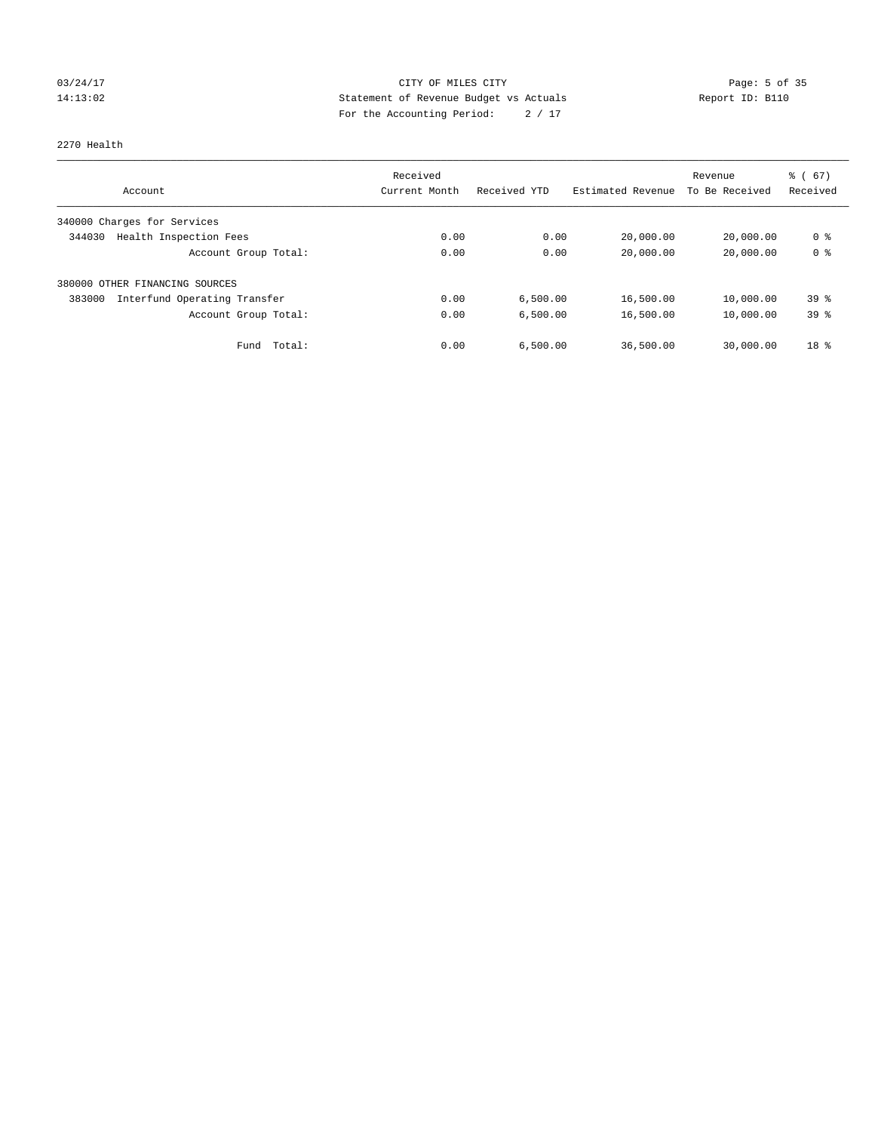# 03/24/17 Page: 5 of 35 14:13:02 Statement of Revenue Budget vs Actuals Report ID: B110 For the Accounting Period: 2 / 17

#### 2270 Health

|                                        | Received      |              |                   | Revenue        | % (67)          |
|----------------------------------------|---------------|--------------|-------------------|----------------|-----------------|
| Account                                | Current Month | Received YTD | Estimated Revenue | To Be Received | Received        |
| 340000 Charges for Services            |               |              |                   |                |                 |
| Health Inspection Fees<br>344030       | 0.00          | 0.00         | 20,000.00         | 20,000.00      | 0 %             |
| Account Group Total:                   | 0.00          | 0.00         | 20,000.00         | 20,000.00      | 0 <sup>8</sup>  |
| 380000 OTHER FINANCING SOURCES         |               |              |                   |                |                 |
| Interfund Operating Transfer<br>383000 | 0.00          | 6,500.00     | 16,500.00         | 10,000.00      | 39 <sup>8</sup> |
| Account Group Total:                   | 0.00          | 6,500.00     | 16,500.00         | 10,000.00      | 39%             |
| Total:<br>Fund                         | 0.00          | 6,500.00     | 36,500.00         | 30,000.00      | 18 <sup>8</sup> |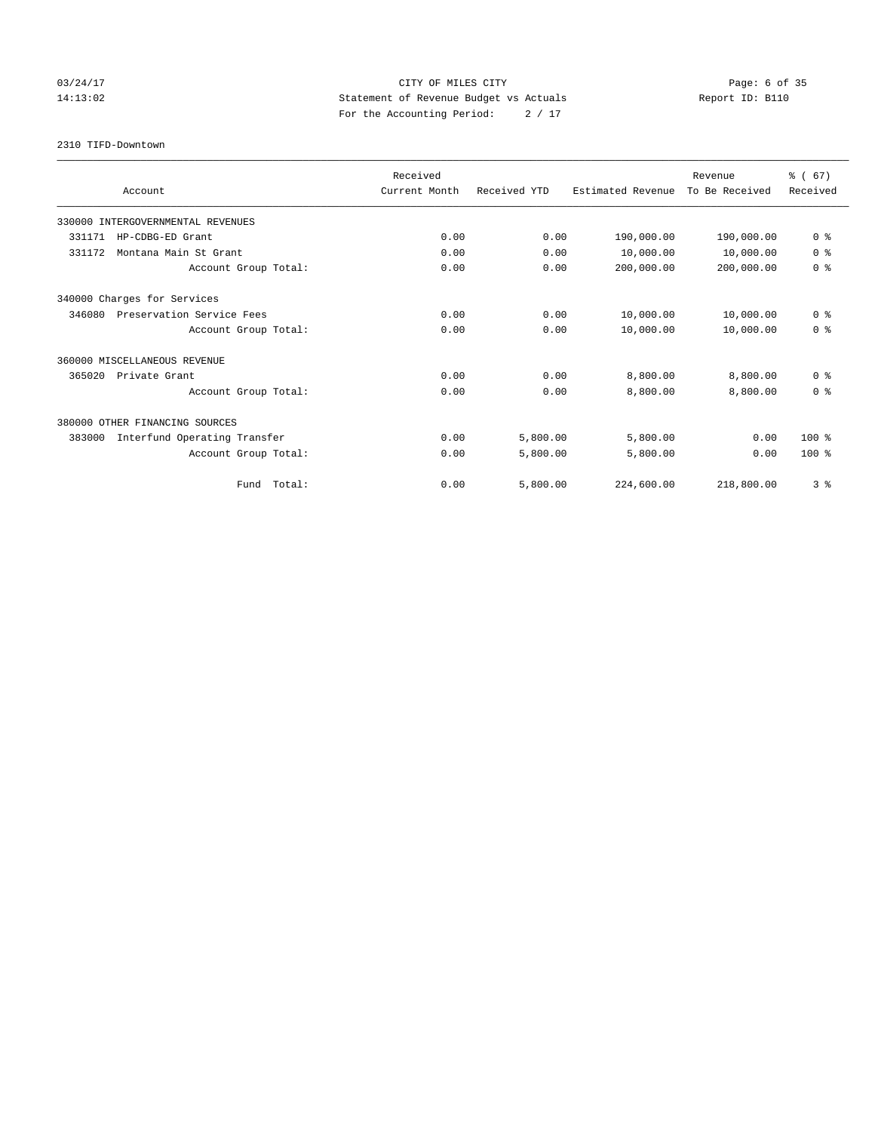# 03/24/17 Page: 6 of 35 14:13:02 Statement of Revenue Budget vs Actuals Report ID: B110 For the Accounting Period: 2 / 17

2310 TIFD-Downtown

| Account                                | Received<br>Current Month | Received YTD | Estimated Revenue | Revenue<br>To Be Received | % (67)<br>Received |
|----------------------------------------|---------------------------|--------------|-------------------|---------------------------|--------------------|
|                                        |                           |              |                   |                           |                    |
| 330000 INTERGOVERNMENTAL REVENUES      |                           |              |                   |                           |                    |
| 331171<br>HP-CDBG-ED Grant             | 0.00                      | 0.00         | 190,000.00        | 190,000.00                | 0 <sup>8</sup>     |
| Montana Main St Grant<br>331172        | 0.00                      | 0.00         | 10,000.00         | 10,000.00                 | 0 <sup>8</sup>     |
| Account Group Total:                   | 0.00                      | 0.00         | 200,000.00        | 200,000.00                | 0 <sup>8</sup>     |
| 340000 Charges for Services            |                           |              |                   |                           |                    |
| 346080<br>Preservation Service Fees    | 0.00                      | 0.00         | 10,000.00         | 10,000.00                 | 0 <sup>8</sup>     |
| Account Group Total:                   | 0.00                      | 0.00         | 10,000.00         | 10,000.00                 | 0 <sup>8</sup>     |
| 360000 MISCELLANEOUS REVENUE           |                           |              |                   |                           |                    |
| 365020<br>Private Grant                | 0.00                      | 0.00         | 8,800.00          | 8,800.00                  | 0 <sup>8</sup>     |
| Account Group Total:                   | 0.00                      | 0.00         | 8,800.00          | 8,800.00                  | 0 <sup>8</sup>     |
| 380000 OTHER FINANCING SOURCES         |                           |              |                   |                           |                    |
| 383000<br>Interfund Operating Transfer | 0.00                      | 5,800.00     | 5,800.00          | 0.00                      | $100*$             |
| Account Group Total:                   | 0.00                      | 5,800.00     | 5,800.00          | 0.00                      | $100*$             |
| Fund Total:                            | 0.00                      | 5,800.00     | 224,600.00        | 218,800.00                | 3%                 |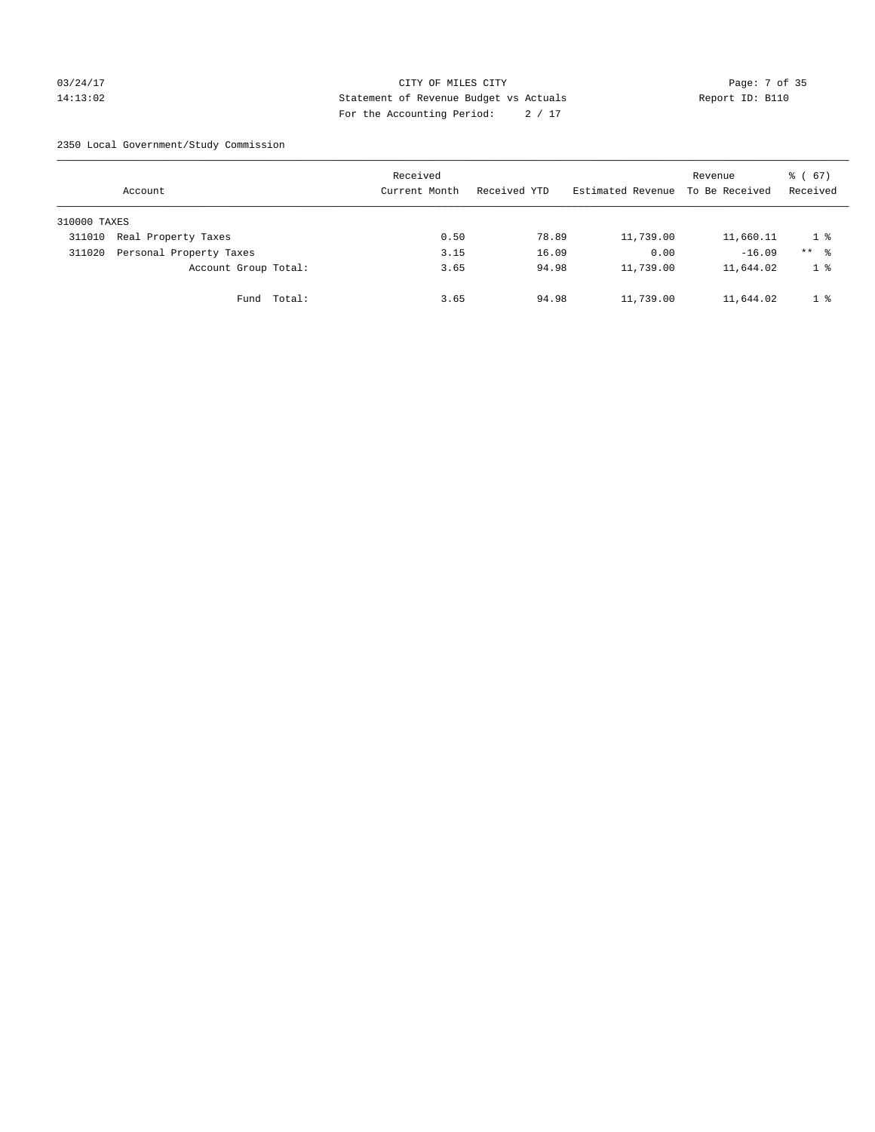# 03/24/17 Page: 7 of 35 14:13:02 Statement of Revenue Budget vs Actuals Report ID: B110 For the Accounting Period: 2 / 17

2350 Local Government/Study Commission

|              | Account                 |             | Received<br>Current Month |      | Received YTD |       | Estimated Revenue | Revenue<br>To Be Received | 8 ( 67)<br>Received |
|--------------|-------------------------|-------------|---------------------------|------|--------------|-------|-------------------|---------------------------|---------------------|
| 310000 TAXES |                         |             |                           |      |              |       |                   |                           |                     |
| 311010       | Real Property Taxes     |             |                           | 0.50 |              | 78.89 | 11,739.00         | 11,660.11                 | 18                  |
| 311020       | Personal Property Taxes |             |                           | 3.15 |              | 16.09 | 0.00              | $-16.09$                  | $***$ %             |
|              | Account Group Total:    |             |                           | 3.65 |              | 94.98 | 11,739.00         | 11,644.02                 | 1 <sup>°</sup>      |
|              |                         | Fund Total: |                           | 3.65 |              | 94.98 | 11,739.00         | 11,644.02                 | 1 %                 |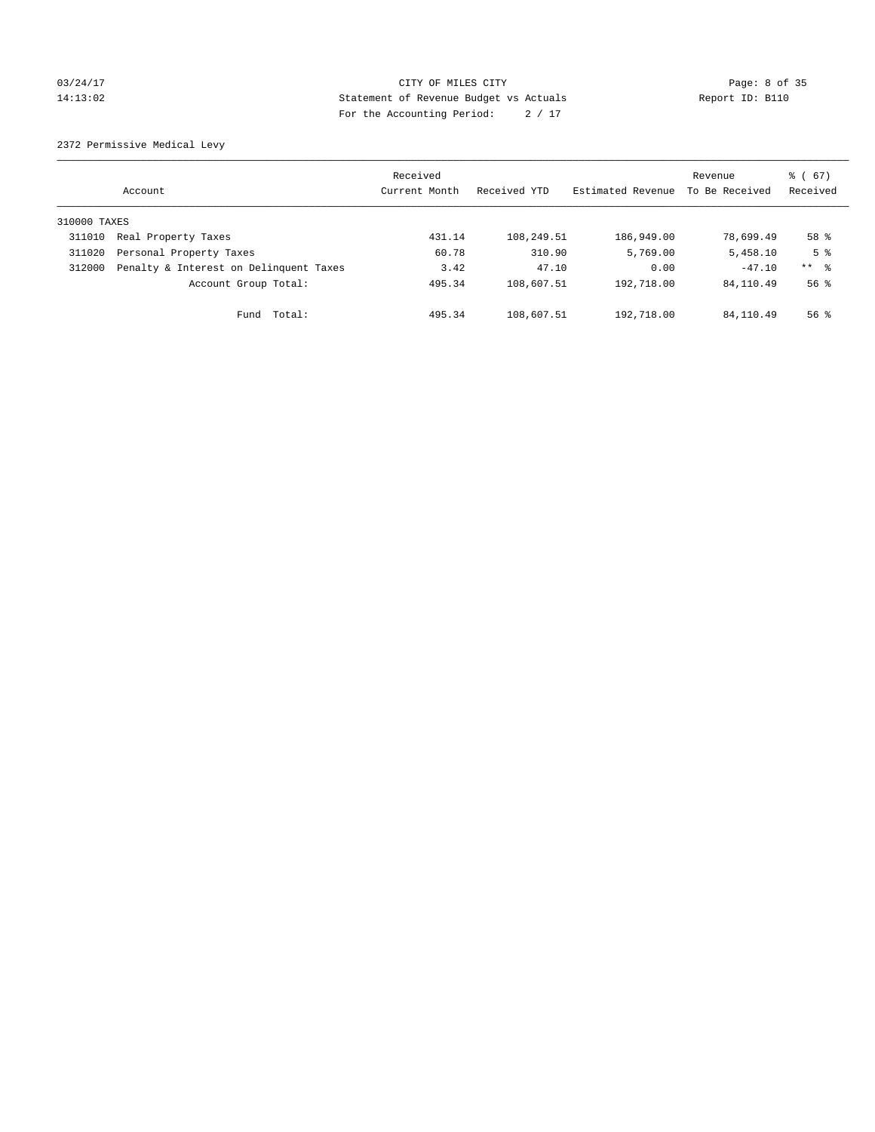# 03/24/17 Page: 8 of 35 14:13:02 Statement of Revenue Budget vs Actuals Report ID: B110 For the Accounting Period: 2 / 17

2372 Permissive Medical Levy

|              | Account                                | Received<br>Current Month | Received YTD | Estimated Revenue | Revenue<br>To Be Received | $\frac{1}{6}$ (67)<br>Received |
|--------------|----------------------------------------|---------------------------|--------------|-------------------|---------------------------|--------------------------------|
| 310000 TAXES |                                        |                           |              |                   |                           |                                |
| 311010       | Real Property Taxes                    | 431.14                    | 108,249.51   | 186,949.00        | 78,699.49                 | 58 %                           |
| 311020       | Personal Property Taxes                | 60.78                     | 310.90       | 5,769.00          | 5,458.10                  | 5 <sup>8</sup>                 |
| 312000       | Penalty & Interest on Delinquent Taxes | 3.42                      | 47.10        | 0.00              | $-47.10$                  | $***$ $ -$                     |
|              | Account Group Total:                   | 495.34                    | 108,607.51   | 192,718.00        | 84, 110.49                | 56 <sup>8</sup>                |
|              | Total:<br>Fund                         | 495.34                    | 108,607.51   | 192,718.00        | 84, 110.49                | $56$ $\frac{6}{3}$             |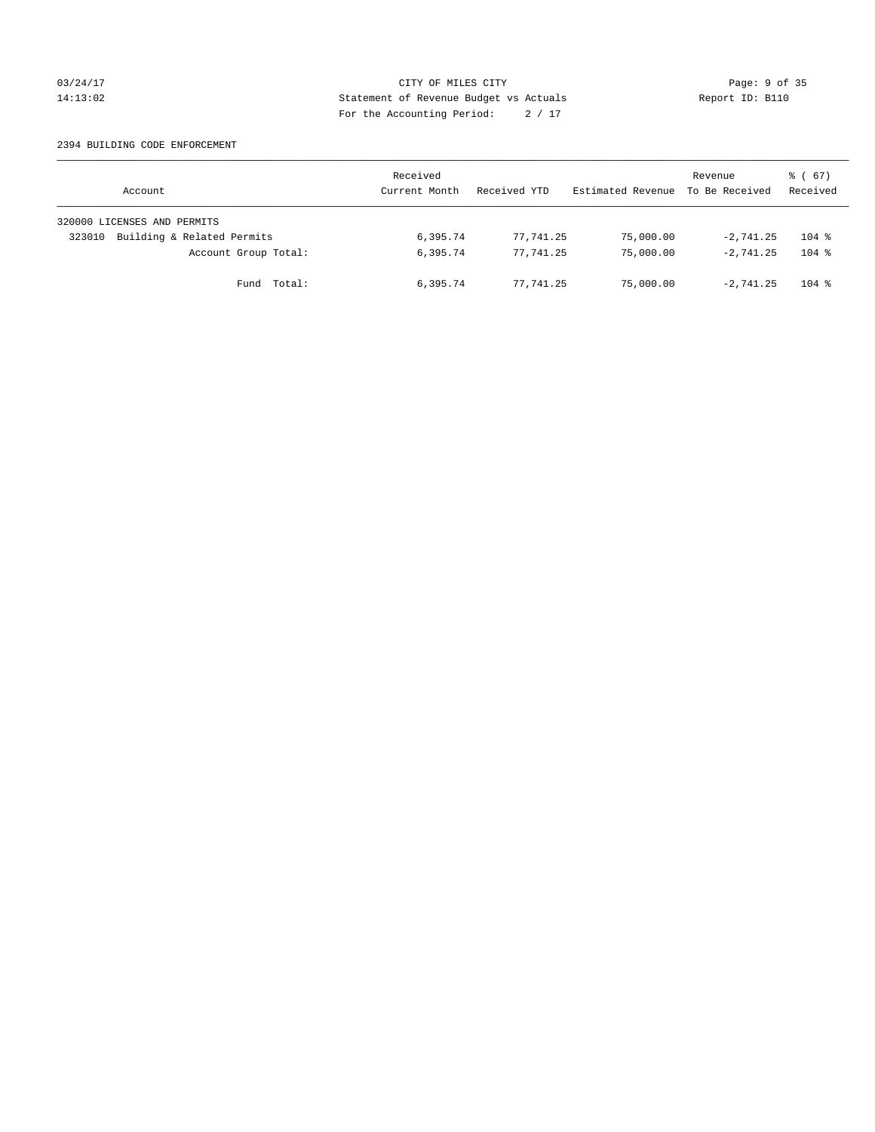# 03/24/17 Page: 9 of 35 14:13:02 Statement of Revenue Budget vs Actuals Report ID: B110 For the Accounting Period: 2 / 17

#### 2394 BUILDING CODE ENFORCEMENT

| Account                              | Received<br>Current Month | Received YTD | Estimated Revenue | Revenue<br>To Be Received | $\frac{1}{6}$ (67)<br>Received |
|--------------------------------------|---------------------------|--------------|-------------------|---------------------------|--------------------------------|
| 320000 LICENSES AND PERMITS          |                           |              |                   |                           |                                |
| Building & Related Permits<br>323010 | 6,395.74                  | 77,741.25    | 75,000.00         | $-2.741.25$               | $104$ %                        |
| Account Group Total:                 | 6,395.74                  | 77.741.25    | 75,000.00         | $-2.741.25$               | $104$ %                        |
| Fund Total:                          | 6,395.74                  | 77.741.25    | 75,000.00         | $-2.741.25$               | $104$ %                        |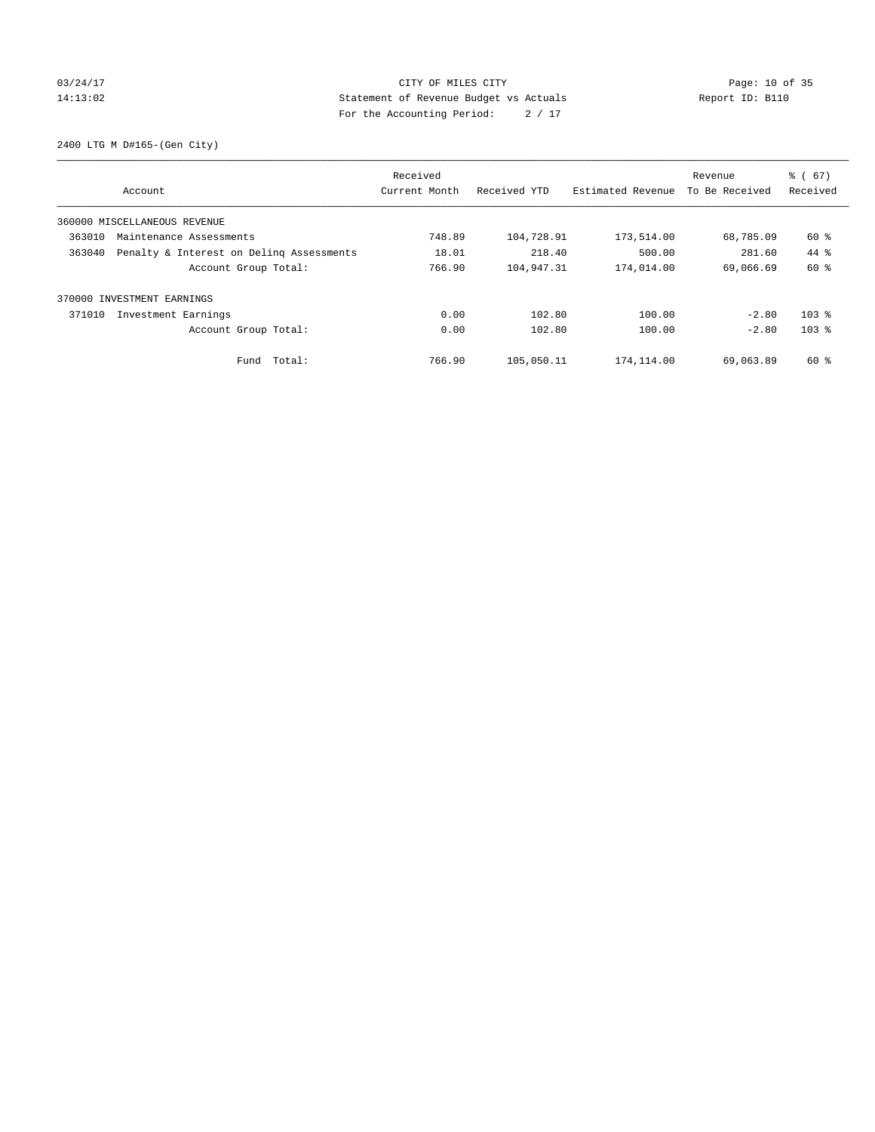# 03/24/17 Page: 10 of 35 14:13:02 Statement of Revenue Budget vs Actuals Report ID: B110 For the Accounting Period: 2 / 17

2400 LTG M D#165-(Gen City)

|                                                    | Received      |              |                   | Revenue        | $\frac{6}{6}$ (67) |
|----------------------------------------------------|---------------|--------------|-------------------|----------------|--------------------|
| Account                                            | Current Month | Received YTD | Estimated Revenue | To Be Received | Received           |
| 360000 MISCELLANEOUS REVENUE                       |               |              |                   |                |                    |
| 363010<br>Maintenance Assessments                  | 748.89        | 104,728.91   | 173,514.00        | 68,785.09      | 60 %               |
| 363040<br>Penalty & Interest on Deling Assessments | 18.01         | 218.40       | 500.00            | 281.60         | $44*$              |
| Account Group Total:                               | 766.90        | 104,947.31   | 174,014.00        | 69,066.69      | 60 %               |
| 370000 INVESTMENT EARNINGS                         |               |              |                   |                |                    |
| 371010<br>Investment Earnings                      | 0.00          | 102.80       | 100.00            | $-2.80$        | $103$ $%$          |
| Account Group Total:                               | 0.00          | 102.80       | 100.00            | $-2.80$        | $103$ %            |
| Total:<br>Fund                                     | 766.90        | 105,050.11   | 174,114.00        | 69,063.89      | 60 %               |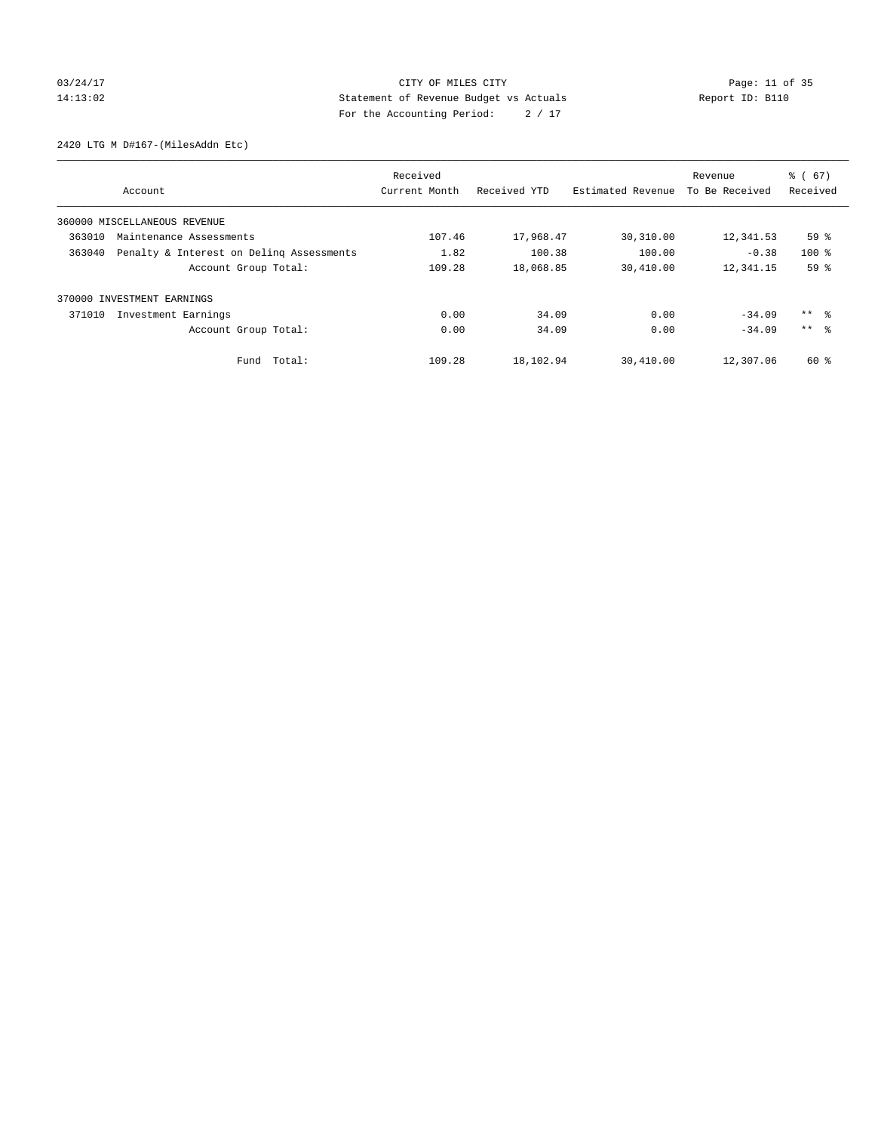# 03/24/17 Page: 11 of 35 14:13:02 Statement of Revenue Budget vs Actuals Report ID: B110 For the Accounting Period: 2 / 17

2420 LTG M D#167-(MilesAddn Etc)

|        |                                          | Received      |              | Revenue           |                | $\frac{6}{6}$ (67) |
|--------|------------------------------------------|---------------|--------------|-------------------|----------------|--------------------|
|        | Account                                  | Current Month | Received YTD | Estimated Revenue | To Be Received | Received           |
|        | 360000 MISCELLANEOUS REVENUE             |               |              |                   |                |                    |
| 363010 | Maintenance Assessments                  | 107.46        | 17,968.47    | 30,310.00         | 12,341.53      | 59%                |
| 363040 | Penalty & Interest on Deling Assessments | 1.82          | 100.38       | 100.00            | $-0.38$        | $100*$             |
|        | Account Group Total:                     | 109.28        | 18,068.85    | 30,410.00         | 12,341.15      | 59 %               |
| 370000 | INVESTMENT EARNINGS                      |               |              |                   |                |                    |
| 371010 | Investment Earnings                      | 0.00          | 34.09        | 0.00              | $-34.09$       | ** 왕               |
|        | Account Group Total:                     | 0.00          | 34.09        | 0.00              | $-34.09$       | $***$ $\approx$    |
|        | Fund Total:                              | 109.28        | 18,102.94    | 30,410.00         | 12,307.06      | 60 %               |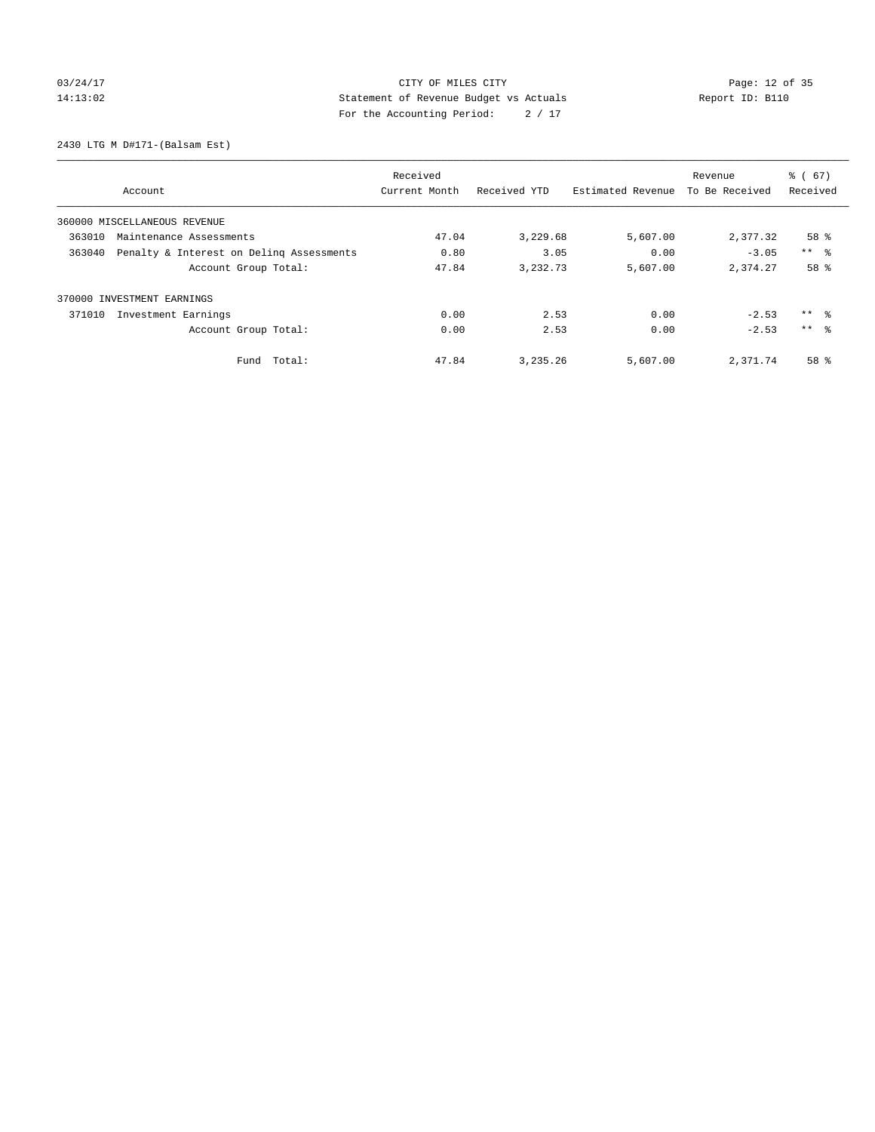# 03/24/17 Page: 12 of 35 14:13:02 Statement of Revenue Budget vs Actuals Report ID: B110 For the Accounting Period: 2 / 17

2430 LTG M D#171-(Balsam Est)

|                                                    | Received      |              |                   | Revenue        |                 |
|----------------------------------------------------|---------------|--------------|-------------------|----------------|-----------------|
| Account                                            | Current Month | Received YTD | Estimated Revenue | To Be Received | Received        |
| 360000 MISCELLANEOUS REVENUE                       |               |              |                   |                |                 |
| 363010<br>Maintenance Assessments                  | 47.04         | 3,229.68     | 5,607.00          | 2,377.32       | 58 %            |
| Penalty & Interest on Deling Assessments<br>363040 | 0.80          | 3.05         | 0.00              | $-3.05$        | $***$ $ -$      |
| Account Group Total:                               | 47.84         | 3,232.73     | 5,607.00          | 2,374.27       | 58 %            |
| 370000 INVESTMENT EARNINGS                         |               |              |                   |                |                 |
| 371010<br>Investment Earnings                      | 0.00          | 2.53         | 0.00              | $-2.53$        | ** 왕            |
| Account Group Total:                               | 0.00          | 2.53         | 0.00              | $-2.53$        | $***$ $\approx$ |
| Total:<br>Fund                                     | 47.84         | 3,235.26     | 5,607.00          | 2,371.74       | 58 %            |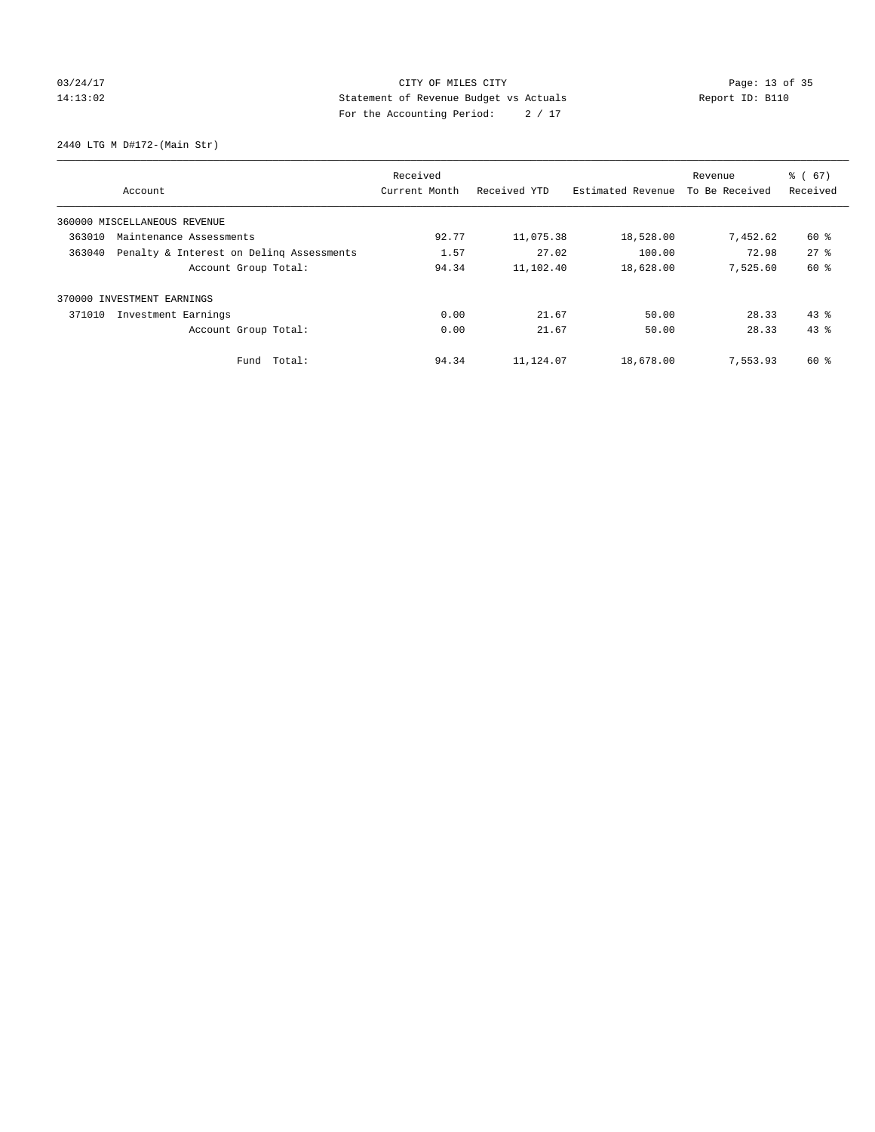# 03/24/17 Page: 13 of 35 14:13:02 Statement of Revenue Budget vs Actuals Report ID: B110 For the Accounting Period: 2 / 17

2440 LTG M D#172-(Main Str)

|                                                    | Received      |              |                   | Revenue        | $\frac{6}{6}$ (67) |
|----------------------------------------------------|---------------|--------------|-------------------|----------------|--------------------|
| Account                                            | Current Month | Received YTD | Estimated Revenue | To Be Received | Received           |
| 360000 MISCELLANEOUS REVENUE                       |               |              |                   |                |                    |
| 363010<br>Maintenance Assessments                  | 92.77         | 11,075.38    | 18,528.00         | 7,452.62       | 60 %               |
| 363040<br>Penalty & Interest on Deling Assessments | 1.57          | 27.02        | 100.00            | 72.98          | 278                |
| Account Group Total:                               | 94.34         | 11,102.40    | 18,628.00         | 7.525.60       | 60 %               |
| 370000 INVESTMENT EARNINGS                         |               |              |                   |                |                    |
| 371010<br>Investment Earnings                      | 0.00          | 21.67        | 50.00             | 28.33          | $43$ %             |
| Account Group Total:                               | 0.00          | 21.67        | 50.00             | 28.33          | 43.8               |
| Total:<br>Fund                                     | 94.34         | 11,124.07    | 18,678.00         | 7,553.93       | 60 %               |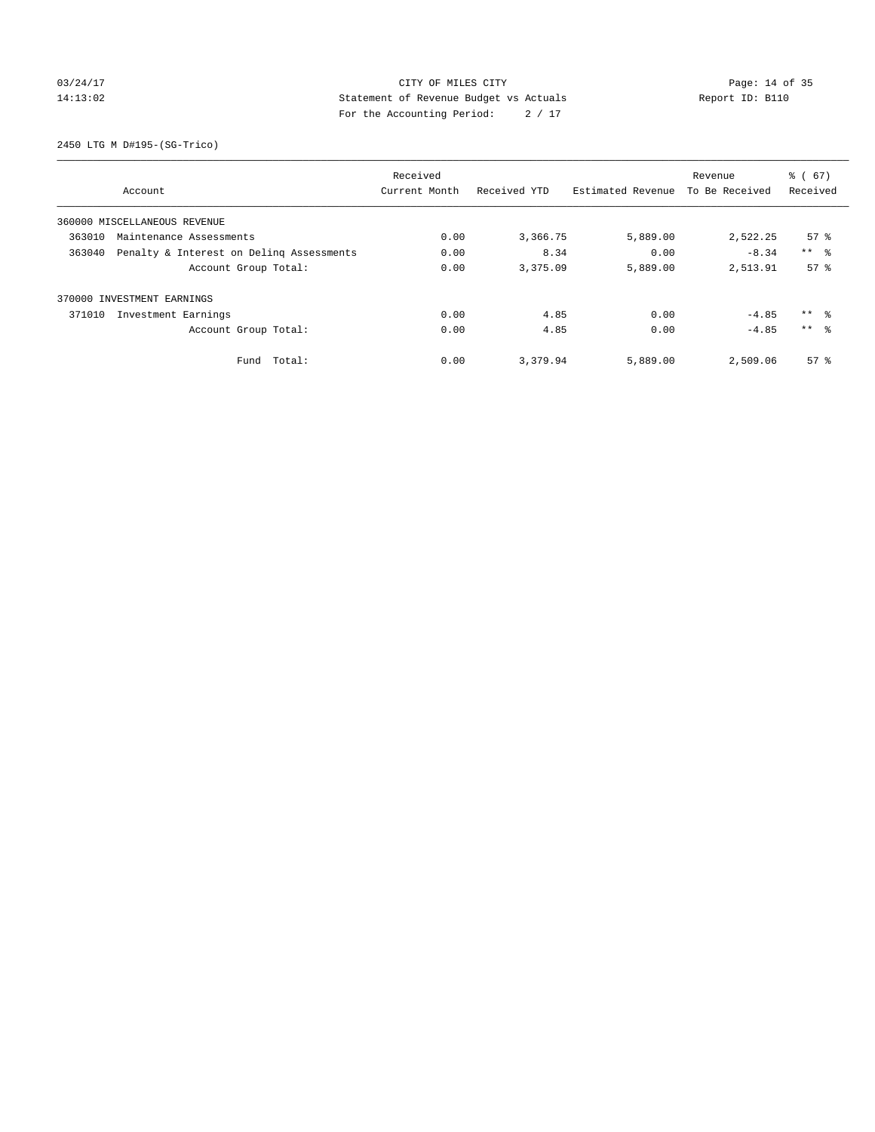# 03/24/17 Page: 14 of 35 14:13:02 Statement of Revenue Budget vs Actuals Report ID: B110 For the Accounting Period: 2 / 17

2450 LTG M D#195-(SG-Trico)

|                                                    | Received      |              |                   | Revenue        | $\frac{6}{6}$ (67) |
|----------------------------------------------------|---------------|--------------|-------------------|----------------|--------------------|
| Account                                            | Current Month | Received YTD | Estimated Revenue | To Be Received | Received           |
| 360000 MISCELLANEOUS REVENUE                       |               |              |                   |                |                    |
| 363010<br>Maintenance Assessments                  | 0.00          | 3,366.75     | 5,889.00          | 2,522.25       | $57*$              |
| 363040<br>Penalty & Interest on Deling Assessments | 0.00          | 8.34         | 0.00              | $-8.34$        | $***$ $ -$         |
| Account Group Total:                               | 0.00          | 3,375.09     | 5,889.00          | 2,513.91       | 57 <sup>8</sup>    |
| 370000 INVESTMENT EARNINGS                         |               |              |                   |                |                    |
| 371010<br>Investment Earnings                      | 0.00          | 4.85         | 0.00              | $-4.85$        | ** 왕               |
| Account Group Total:                               | 0.00          | 4.85         | 0.00              | $-4.85$        | $***$ $\approx$    |
| Total:<br>Fund                                     | 0.00          | 3,379.94     | 5,889.00          | 2,509.06       | 57 <sup>8</sup>    |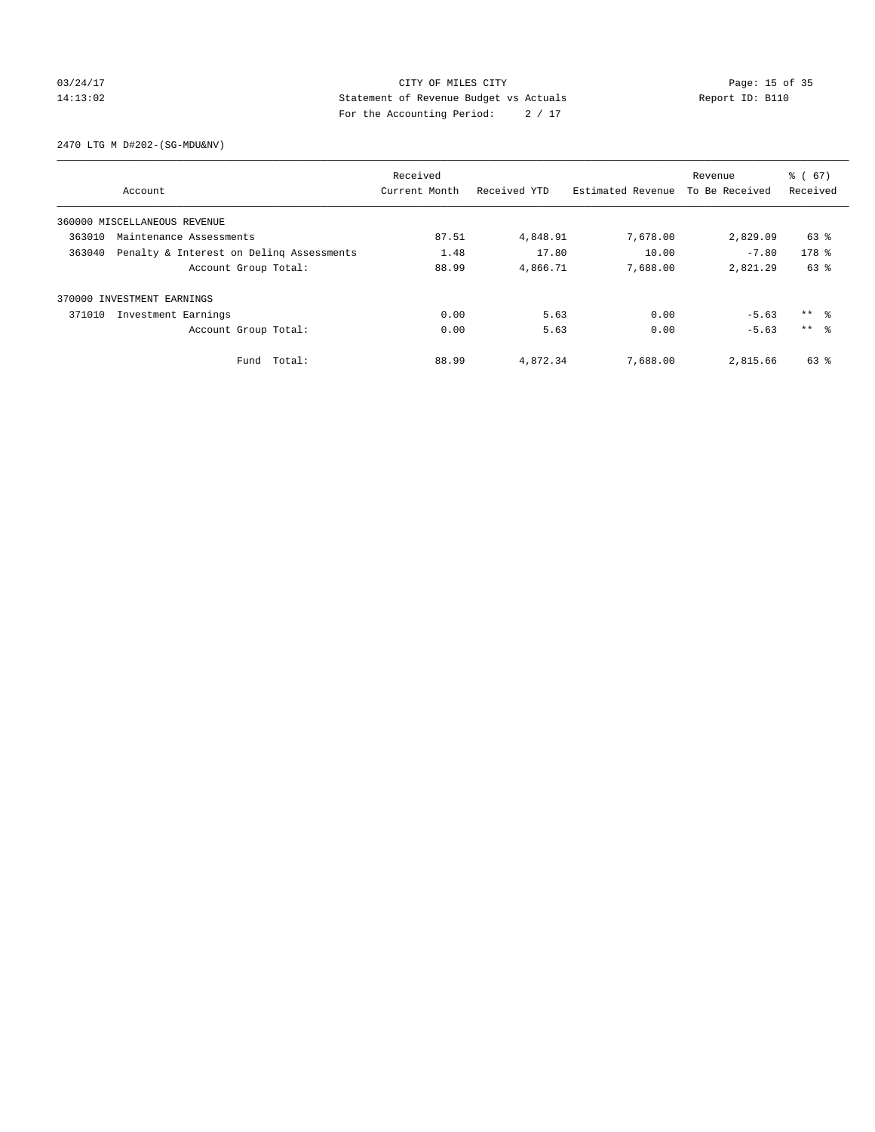# 03/24/17 Page: 15 of 35 14:13:02 Statement of Revenue Budget vs Actuals Report ID: B110 For the Accounting Period: 2 / 17

2470 LTG M D#202-(SG-MDU&NV)

|                              |                                          | Received      |              |                   | Revenue        | $\frac{6}{6}$ (67) |
|------------------------------|------------------------------------------|---------------|--------------|-------------------|----------------|--------------------|
| Account                      |                                          | Current Month | Received YTD | Estimated Revenue | To Be Received | Received           |
| 360000 MISCELLANEOUS REVENUE |                                          |               |              |                   |                |                    |
| 363010                       | Maintenance Assessments                  | 87.51         | 4,848.91     | 7,678.00          | 2,829.09       | 63 %               |
| 363040                       | Penalty & Interest on Deling Assessments | 1.48          | 17.80        | 10.00             | $-7.80$        | 178 %              |
|                              | Account Group Total:                     | 88.99         | 4,866.71     | 7,688.00          | 2,821.29       | 63 %               |
| 370000 INVESTMENT EARNINGS   |                                          |               |              |                   |                |                    |
| 371010                       | Investment Earnings                      | 0.00          | 5.63         | 0.00              | $-5.63$        | ** 왕               |
|                              | Account Group Total:                     | 0.00          | 5.63         | 0.00              | $-5.63$        | $***$ $\approx$    |
|                              | Fund Total:                              | 88.99         | 4,872.34     | 7,688.00          | 2,815.66       | 63 %               |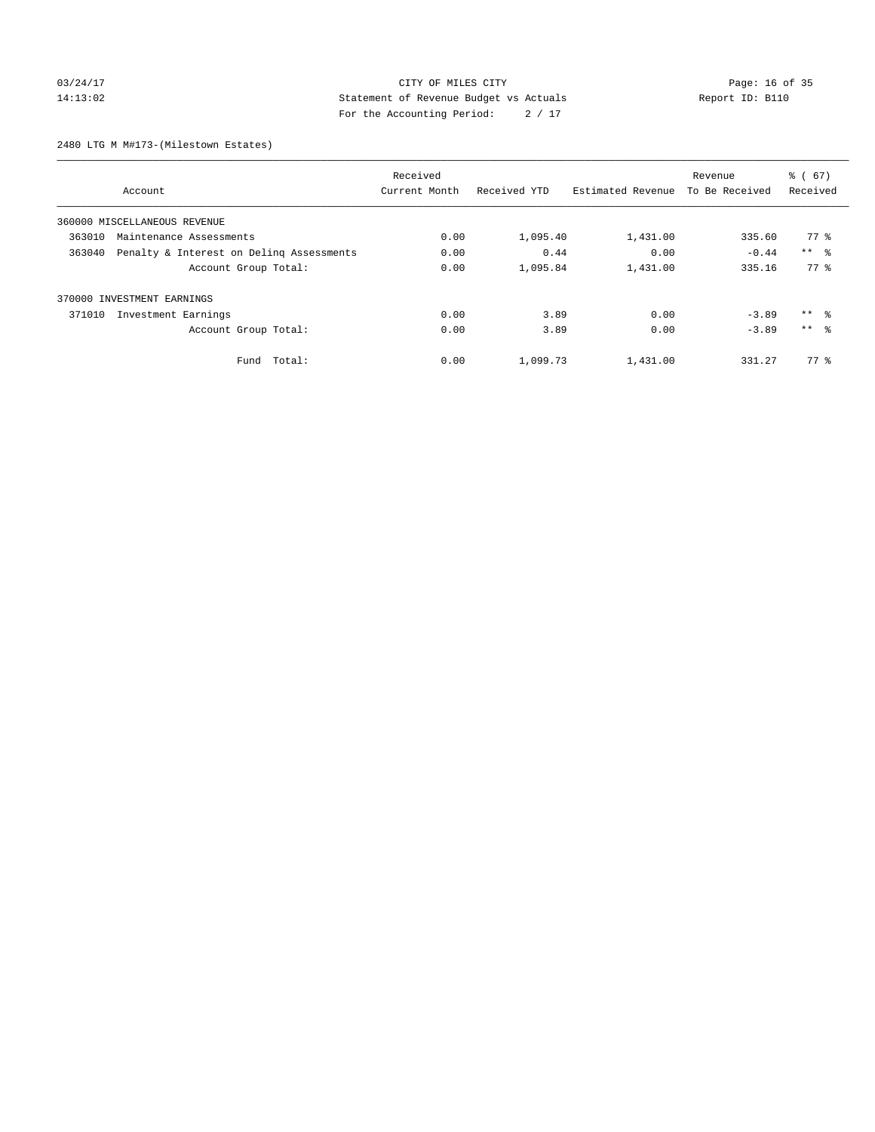# 03/24/17 Page: 16 of 35 14:13:02 Statement of Revenue Budget vs Actuals Report ID: B110 For the Accounting Period: 2 / 17

2480 LTG M M#173-(Milestown Estates)

|        |                                          | Received      |              |                   | Revenue        | $\frac{6}{6}$ (67) |
|--------|------------------------------------------|---------------|--------------|-------------------|----------------|--------------------|
|        | Account                                  | Current Month | Received YTD | Estimated Revenue | To Be Received | Received           |
|        | 360000 MISCELLANEOUS REVENUE             |               |              |                   |                |                    |
| 363010 | Maintenance Assessments                  | 0.00          | 1,095.40     | 1,431.00          | 335.60         | $77*$              |
| 363040 | Penalty & Interest on Deling Assessments | 0.00          | 0.44         | 0.00              | $-0.44$        | $***$ $ -$         |
|        | Account Group Total:                     | 0.00          | 1,095.84     | 1,431.00          | 335.16         | 77.8               |
|        | 370000 INVESTMENT EARNINGS               |               |              |                   |                |                    |
| 371010 | Investment Earnings                      | 0.00          | 3.89         | 0.00              | $-3.89$        | ** 왕               |
|        | Account Group Total:                     | 0.00          | 3.89         | 0.00              | $-3.89$        | $***$ $\approx$    |
|        | Total:<br>Fund                           | 0.00          | 1,099.73     | 1,431.00          | 331.27         | 77.8               |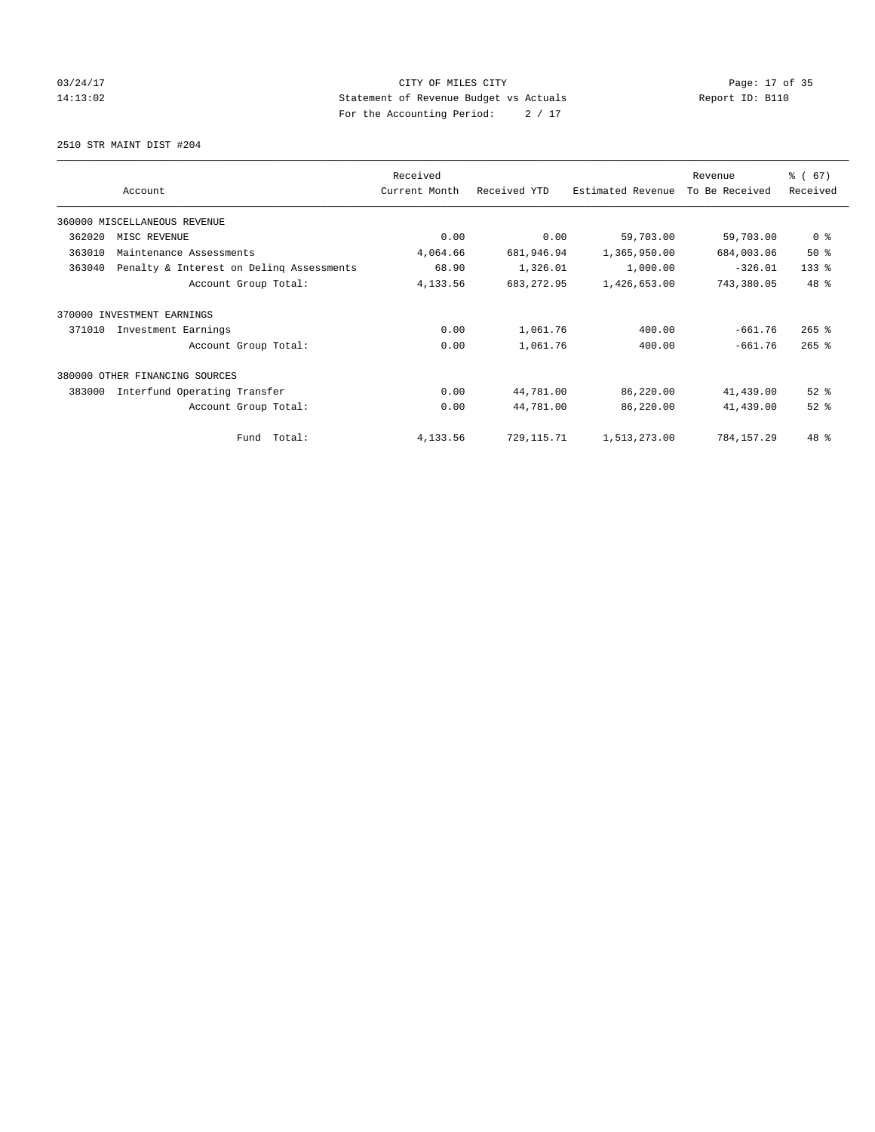# 03/24/17 Page: 17 of 35 14:13:02 Statement of Revenue Budget vs Actuals Report ID: B110 For the Accounting Period: 2 / 17

2510 STR MAINT DIST #204

|        |                                          | Received      |              |                   |                           | % (67)         |
|--------|------------------------------------------|---------------|--------------|-------------------|---------------------------|----------------|
|        | Account                                  | Current Month | Received YTD | Estimated Revenue | Revenue<br>To Be Received | Received       |
|        | 360000 MISCELLANEOUS REVENUE             |               |              |                   |                           |                |
| 362020 | MISC REVENUE                             | 0.00          | 0.00         | 59,703.00         | 59,703.00                 | 0 <sup>8</sup> |
| 363010 | Maintenance Assessments                  | 4,064.66      | 681,946.94   | 1,365,950.00      | 684,003.06                | $50*$          |
| 363040 | Penalty & Interest on Deling Assessments | 68.90         | 1,326.01     | 1,000.00          | $-326.01$                 | $133$ $%$      |
|        | Account Group Total:                     | 4,133.56      | 683, 272.95  | 1,426,653.00      | 743,380.05                | 48 %           |
| 370000 | INVESTMENT EARNINGS                      |               |              |                   |                           |                |
| 371010 | Investment Earnings                      | 0.00          | 1,061.76     | 400.00            | $-661.76$                 | $265$ $%$      |
|        | Account Group Total:                     | 0.00          | 1,061.76     | 400.00            | $-661.76$                 | $265$ $%$      |
|        | 380000 OTHER FINANCING SOURCES           |               |              |                   |                           |                |
| 383000 | Interfund Operating Transfer             | 0.00          | 44,781.00    | 86,220.00         | 41,439.00                 | $52$ $%$       |
|        | Account Group Total:                     | 0.00          | 44,781.00    | 86,220.00         | 41,439.00                 | $52$ $%$       |
|        | Total:<br>Fund                           | 4,133.56      | 729, 115.71  | 1,513,273.00      | 784,157.29                | 48 %           |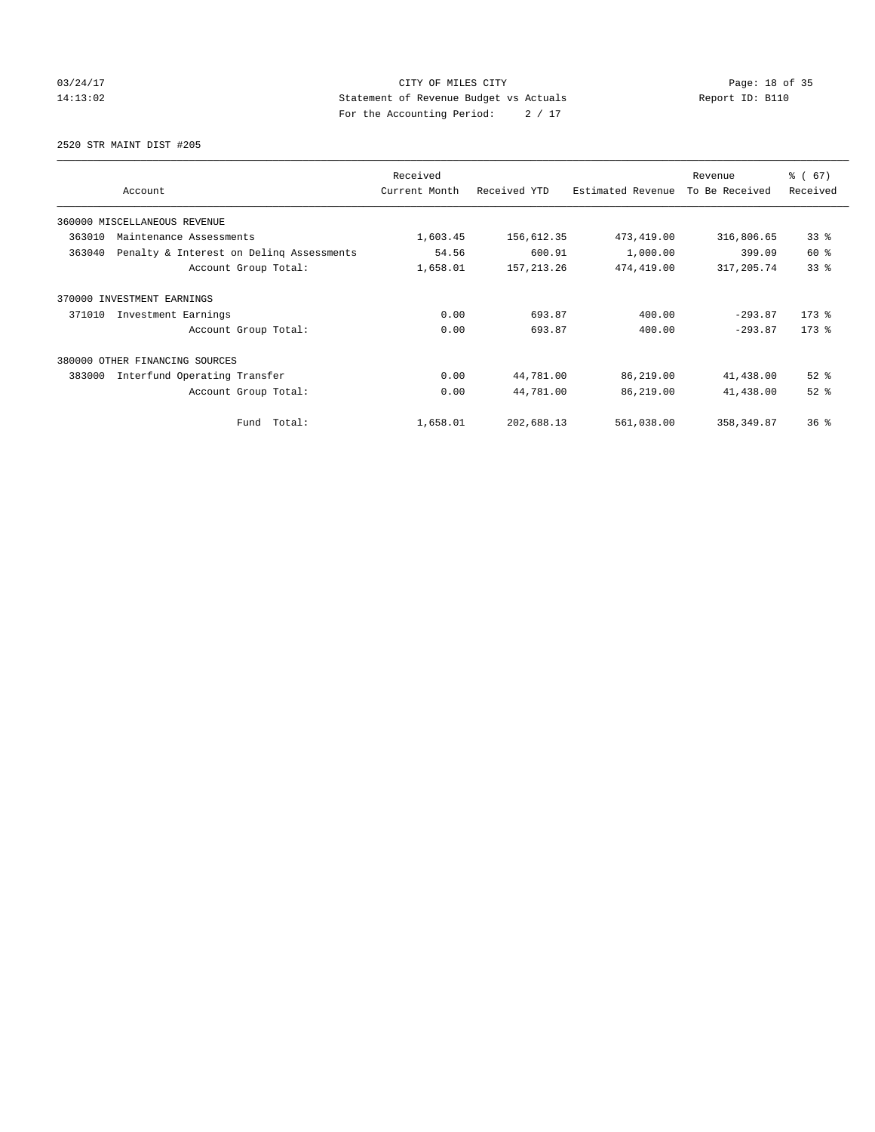# 03/24/17 Page: 18 of 35 14:13:02 Statement of Revenue Budget vs Actuals Report ID: B110 For the Accounting Period: 2 / 17

2520 STR MAINT DIST #205

| Account                                            | Received<br>Current Month | Received YTD | Estimated Revenue | Revenue<br>To Be Received | % (67)<br>Received |
|----------------------------------------------------|---------------------------|--------------|-------------------|---------------------------|--------------------|
|                                                    |                           |              |                   |                           |                    |
| 360000 MISCELLANEOUS REVENUE                       |                           |              |                   |                           |                    |
| 363010<br>Maintenance Assessments                  | 1,603.45                  | 156,612.35   | 473, 419.00       | 316,806.65                | 33%                |
| 363040<br>Penalty & Interest on Deling Assessments | 54.56                     | 600.91       | 1,000.00          | 399.09                    | 60 %               |
| Account Group Total:                               | 1,658.01                  | 157, 213.26  | 474,419.00        | 317, 205.74               | 338                |
| 370000 INVESTMENT EARNINGS                         |                           |              |                   |                           |                    |
| 371010<br>Investment Earnings                      | 0.00                      | 693.87       | 400.00            | $-293.87$                 | $173$ $%$          |
| Account Group Total:                               | 0.00                      | 693.87       | 400.00            | $-293.87$                 | $173$ $%$          |
| 380000 OTHER FINANCING SOURCES                     |                           |              |                   |                           |                    |
| 383000<br>Interfund Operating Transfer             | 0.00                      | 44,781.00    | 86,219.00         | 41,438.00                 | $52$ $%$           |
| Account Group Total:                               | 0.00                      | 44,781.00    | 86,219.00         | 41,438.00                 | $52$ $%$           |
| Fund Total:                                        | 1,658.01                  | 202,688.13   | 561,038.00        | 358, 349.87               | $36*$              |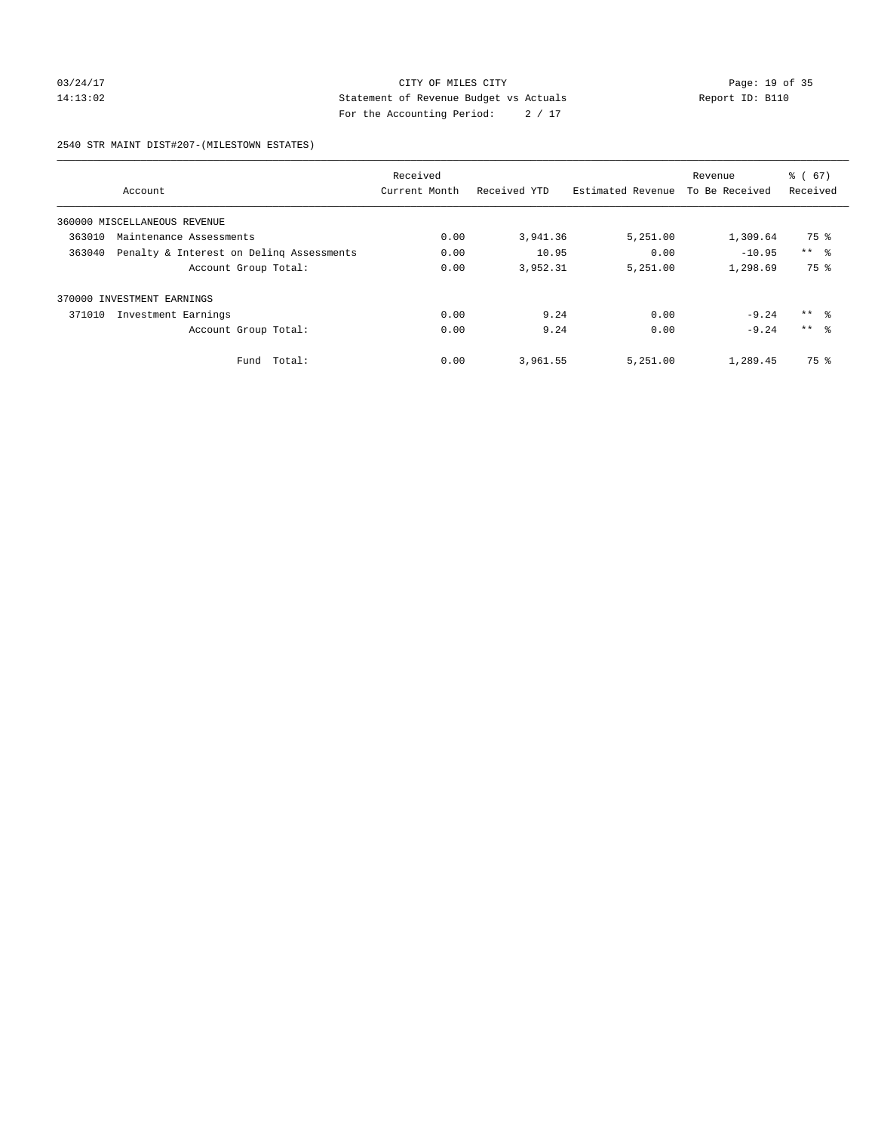# 03/24/17 Page: 19 of 35 14:13:02 Statement of Revenue Budget vs Actuals Report ID: B110 For the Accounting Period: 2 / 17

#### 2540 STR MAINT DIST#207-(MILESTOWN ESTATES)

|        |                                          | Received      |              |                   | Revenue        | $\frac{6}{6}$ (67) |
|--------|------------------------------------------|---------------|--------------|-------------------|----------------|--------------------|
|        | Account                                  | Current Month | Received YTD | Estimated Revenue | To Be Received | Received           |
|        | 360000 MISCELLANEOUS REVENUE             |               |              |                   |                |                    |
| 363010 | Maintenance Assessments                  | 0.00          | 3,941.36     | 5,251.00          | 1,309.64       | 75 %               |
| 363040 | Penalty & Interest on Deling Assessments | 0.00          | 10.95        | 0.00              | $-10.95$       | $***$ $ -$         |
|        | Account Group Total:                     | 0.00          | 3,952.31     | 5,251.00          | 1,298.69       | 75 %               |
| 370000 | INVESTMENT EARNINGS                      |               |              |                   |                |                    |
| 371010 | Investment Earnings                      | 0.00          | 9.24         | 0.00              | $-9.24$        | $***$ $ -$         |
|        | Account Group Total:                     | 0.00          | 9.24         | 0.00              | $-9.24$        | $***$ $\approx$    |
|        | Fund Total:                              | 0.00          | 3,961.55     | 5,251.00          | 1,289.45       | 75 %               |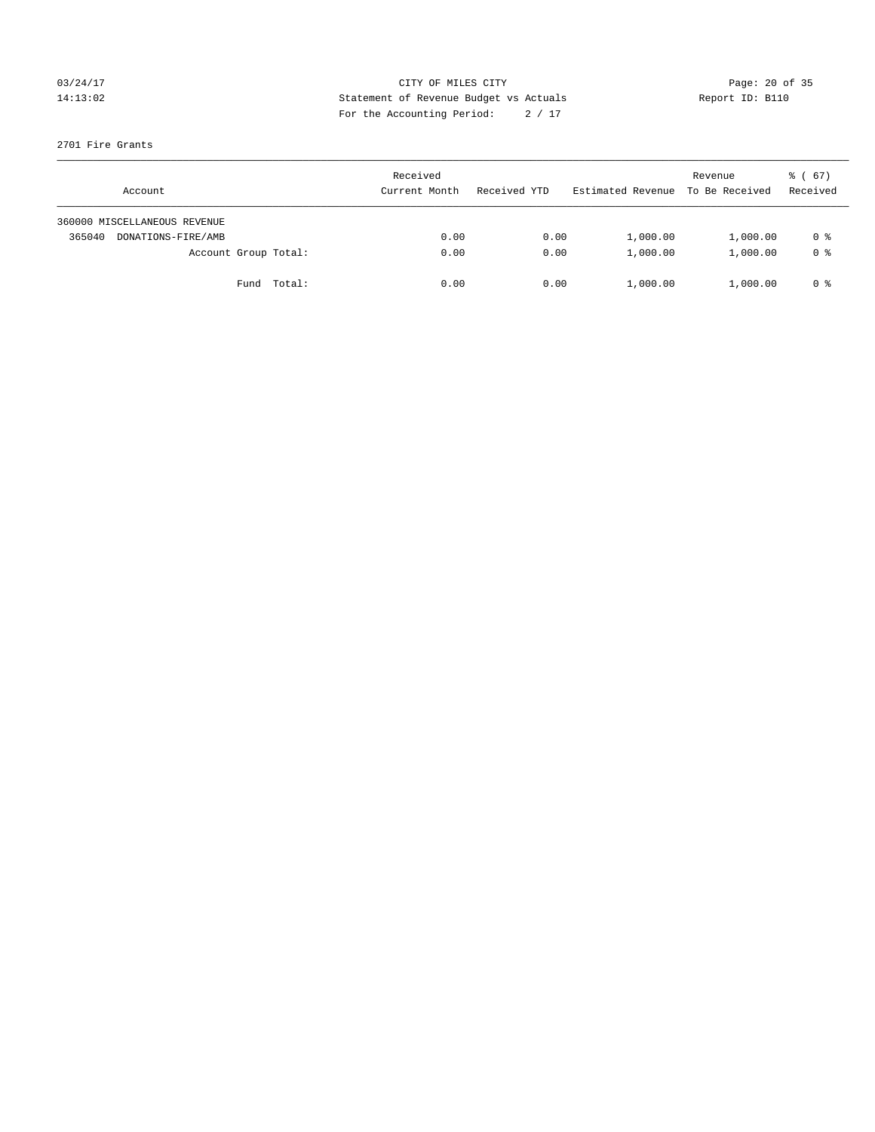# 03/24/17 Page: 20 of 35 14:13:02 Statement of Revenue Budget vs Actuals Report ID: B110 For the Accounting Period: 2 / 17

#### 2701 Fire Grants

| Account                      | Received<br>Current Month | Received YTD | Estimated Revenue | Revenue<br>To Be Received | $\frac{1}{6}$ (67)<br>Received |
|------------------------------|---------------------------|--------------|-------------------|---------------------------|--------------------------------|
| 360000 MISCELLANEOUS REVENUE |                           |              |                   |                           |                                |
| 365040<br>DONATIONS-FIRE/AMB | 0.00                      | 0.00         | 1,000.00          | 1,000.00                  | 0 %                            |
| Account Group Total:         | 0.00                      | 0.00         | 1,000.00          | 1,000.00                  | 0 <sup>8</sup>                 |
| Fund Total:                  | 0.00                      | 0.00         | 1,000.00          | 1,000.00                  | 0 %                            |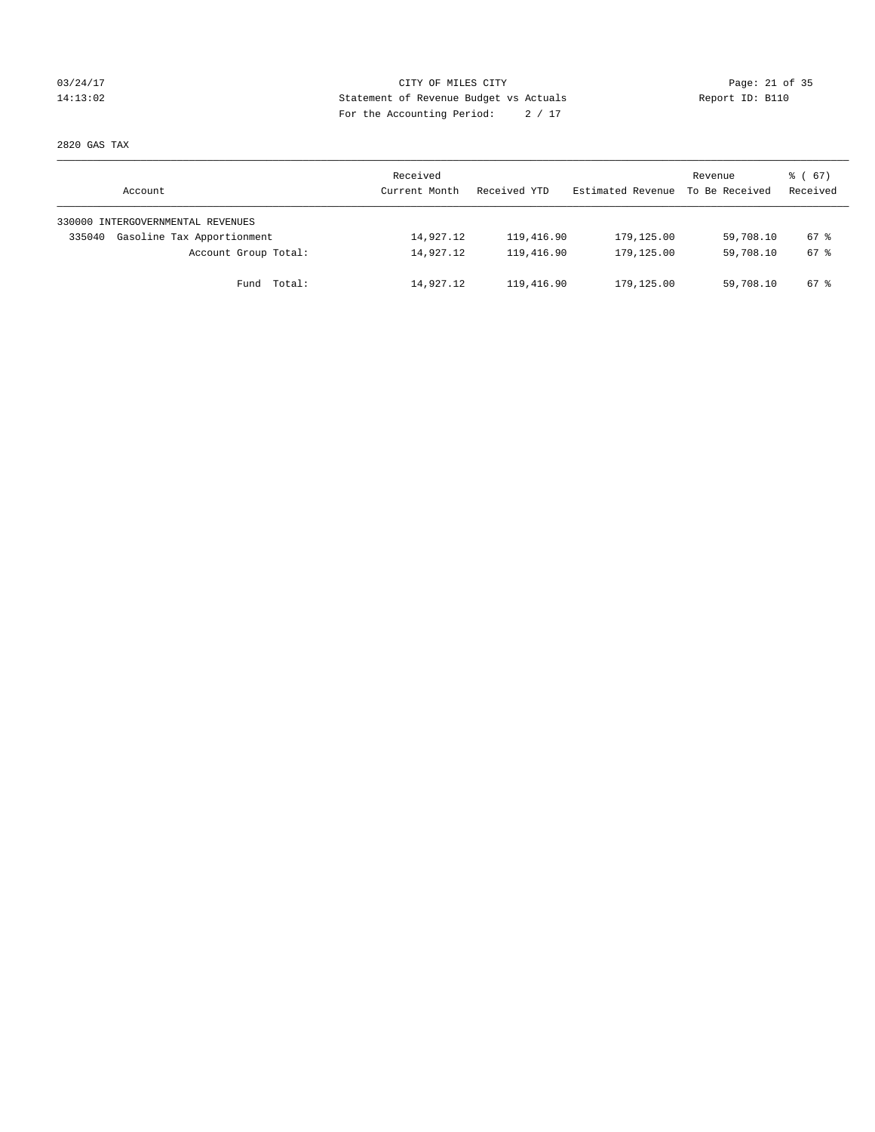# 03/24/17 Page: 21 of 35 14:13:02 Statement of Revenue Budget vs Actuals Report ID: B110 For the Accounting Period: 2 / 17

2820 GAS TAX

| Account                              | Received<br>Current Month | Received YTD | Estimated Revenue | Revenue<br>To Be Received | $\frac{1}{6}$ (67)<br>Received |
|--------------------------------------|---------------------------|--------------|-------------------|---------------------------|--------------------------------|
| 330000 INTERGOVERNMENTAL REVENUES    |                           |              |                   |                           |                                |
| Gasoline Tax Apportionment<br>335040 | 14,927.12                 | 119,416.90   | 179,125.00        | 59,708.10                 | 67 %                           |
| Account Group Total:                 | 14,927.12                 | 119,416.90   | 179,125.00        | 59,708.10                 | 67 %                           |
| Total:<br>Fund                       | 14,927.12                 | 119,416.90   | 179,125.00        | 59,708.10                 | 67 %                           |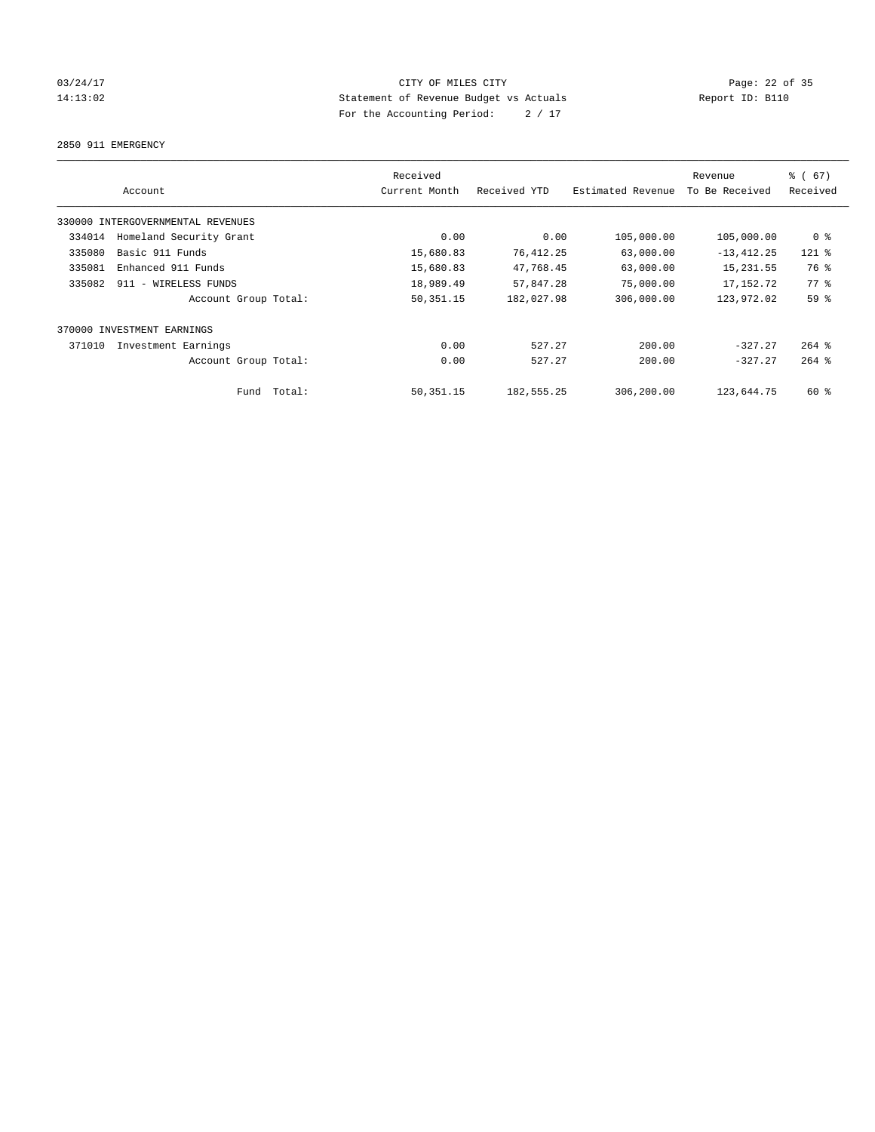# 03/24/17 Page: 22 of 35 14:13:02 Statement of Revenue Budget vs Actuals Report ID: B110 For the Accounting Period: 2 / 17

#### 2850 911 EMERGENCY

|        | Account                           | Received<br>Current Month | Received YTD | Estimated Revenue | Revenue<br>To Be Received | % (67)<br>Received |
|--------|-----------------------------------|---------------------------|--------------|-------------------|---------------------------|--------------------|
|        | 330000 INTERGOVERNMENTAL REVENUES |                           |              |                   |                           |                    |
| 334014 | Homeland Security Grant           | 0.00                      | 0.00         | 105,000.00        | 105,000.00                | 0 <sup>8</sup>     |
| 335080 | Basic 911 Funds                   | 15,680.83                 | 76,412.25    | 63,000.00         | $-13, 412.25$             | $121$ %            |
| 335081 | Enhanced 911 Funds                | 15,680.83                 | 47,768.45    | 63,000.00         | 15, 231.55                | 76 %               |
| 335082 | 911 - WIRELESS FUNDS              | 18,989.49                 | 57,847.28    | 75,000.00         | 17, 152. 72               | $77.$ %            |
|        | Account Group Total:              | 50, 351. 15               | 182,027.98   | 306,000.00        | 123,972.02                | 59 %               |
|        | 370000 INVESTMENT EARNINGS        |                           |              |                   |                           |                    |
| 371010 | Investment Earnings               | 0.00                      | 527.27       | 200.00            | $-327.27$                 | $264$ $%$          |
|        | Account Group Total:              | 0.00                      | 527.27       | 200.00            | $-327.27$                 | $264$ %            |
|        | Fund Total:                       | 50, 351. 15               | 182, 555.25  | 306,200.00        | 123,644.75                | $60*$              |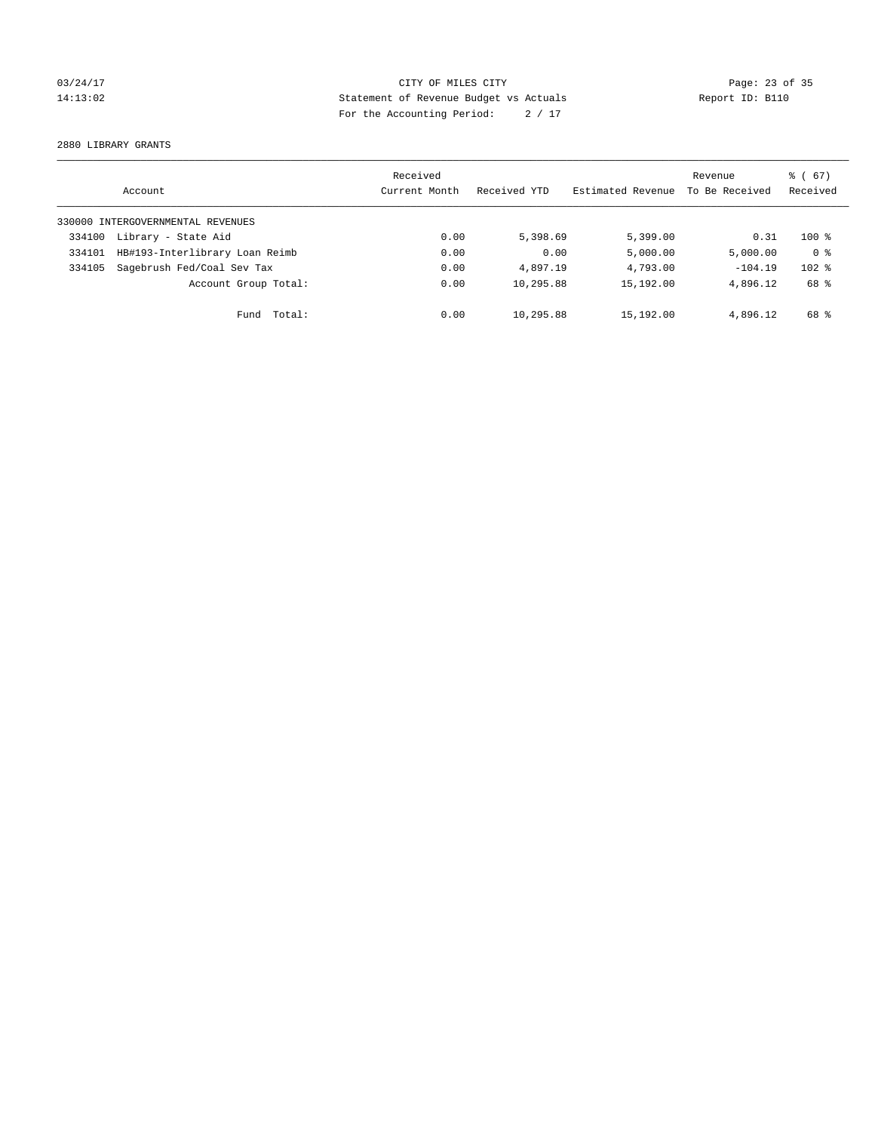# 03/24/17 Page: 23 of 35 14:13:02 Statement of Revenue Budget vs Actuals Report ID: B110 For the Accounting Period: 2 / 17

2880 LIBRARY GRANTS

|        | Account                           | Received<br>Current Month | Received YTD | Estimated Revenue | Revenue<br>To Be Received | $\frac{6}{6}$ (67)<br>Received |
|--------|-----------------------------------|---------------------------|--------------|-------------------|---------------------------|--------------------------------|
|        | 330000 INTERGOVERNMENTAL REVENUES |                           |              |                   |                           |                                |
| 334100 | Library - State Aid               | 0.00                      | 5,398.69     | 5,399.00          | 0.31                      | $100*$                         |
| 334101 | HB#193-Interlibrary Loan Reimb    | 0.00                      | 0.00         | 5,000.00          | 5,000.00                  | 0 <sup>8</sup>                 |
| 334105 | Sagebrush Fed/Coal Sev Tax        | 0.00                      | 4,897.19     | 4,793.00          | $-104.19$                 | $102$ %                        |
|        | Account Group Total:              | 0.00                      | 10,295.88    | 15,192.00         | 4,896.12                  | 68 %                           |
|        | Total:<br>Fund                    | 0.00                      | 10,295.88    | 15,192.00         | 4,896.12                  | 68 %                           |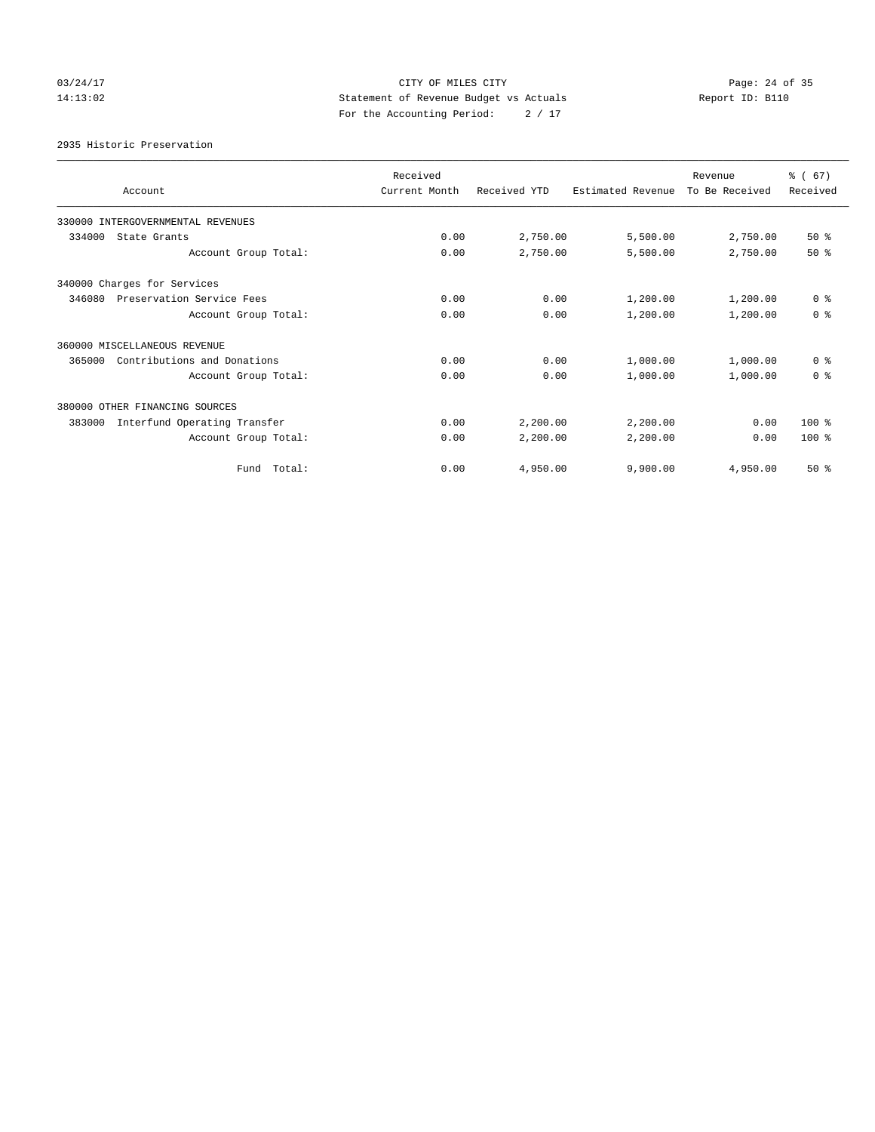# 03/24/17 Page: 24 of 35 14:13:02 Statement of Revenue Budget vs Actuals Report ID: B110 For the Accounting Period: 2 / 17

#### 2935 Historic Preservation

| Account                                | Received<br>Current Month | Received YTD | Estimated Revenue | Revenue<br>To Be Received | % (67)<br>Received |
|----------------------------------------|---------------------------|--------------|-------------------|---------------------------|--------------------|
| 330000 INTERGOVERNMENTAL REVENUES      |                           |              |                   |                           |                    |
| 334000<br>State Grants                 | 0.00                      | 2,750.00     | 5,500.00          | 2,750.00                  | $50*$              |
| Account Group Total:                   | 0.00                      | 2,750.00     | 5,500.00          | 2,750.00                  | $50*$              |
| 340000 Charges for Services            |                           |              |                   |                           |                    |
| 346080<br>Preservation Service Fees    | 0.00                      | 0.00         | 1,200.00          | 1,200.00                  | 0 <sup>8</sup>     |
| Account Group Total:                   | 0.00                      | 0.00         | 1,200.00          | 1,200.00                  | 0 <sup>8</sup>     |
| 360000 MISCELLANEOUS REVENUE           |                           |              |                   |                           |                    |
| Contributions and Donations<br>365000  | 0.00                      | 0.00         | 1,000.00          | 1,000.00                  | 0 <sup>8</sup>     |
| Account Group Total:                   | 0.00                      | 0.00         | 1,000.00          | 1,000.00                  | 0 <sup>8</sup>     |
| 380000 OTHER FINANCING SOURCES         |                           |              |                   |                           |                    |
| 383000<br>Interfund Operating Transfer | 0.00                      | 2,200.00     | 2,200.00          | 0.00                      | $100*$             |
| Account Group Total:                   | 0.00                      | 2,200.00     | 2,200.00          | 0.00                      | $100*$             |
| Fund Total:                            | 0.00                      | 4,950.00     | 9,900.00          | 4,950.00                  | $50*$              |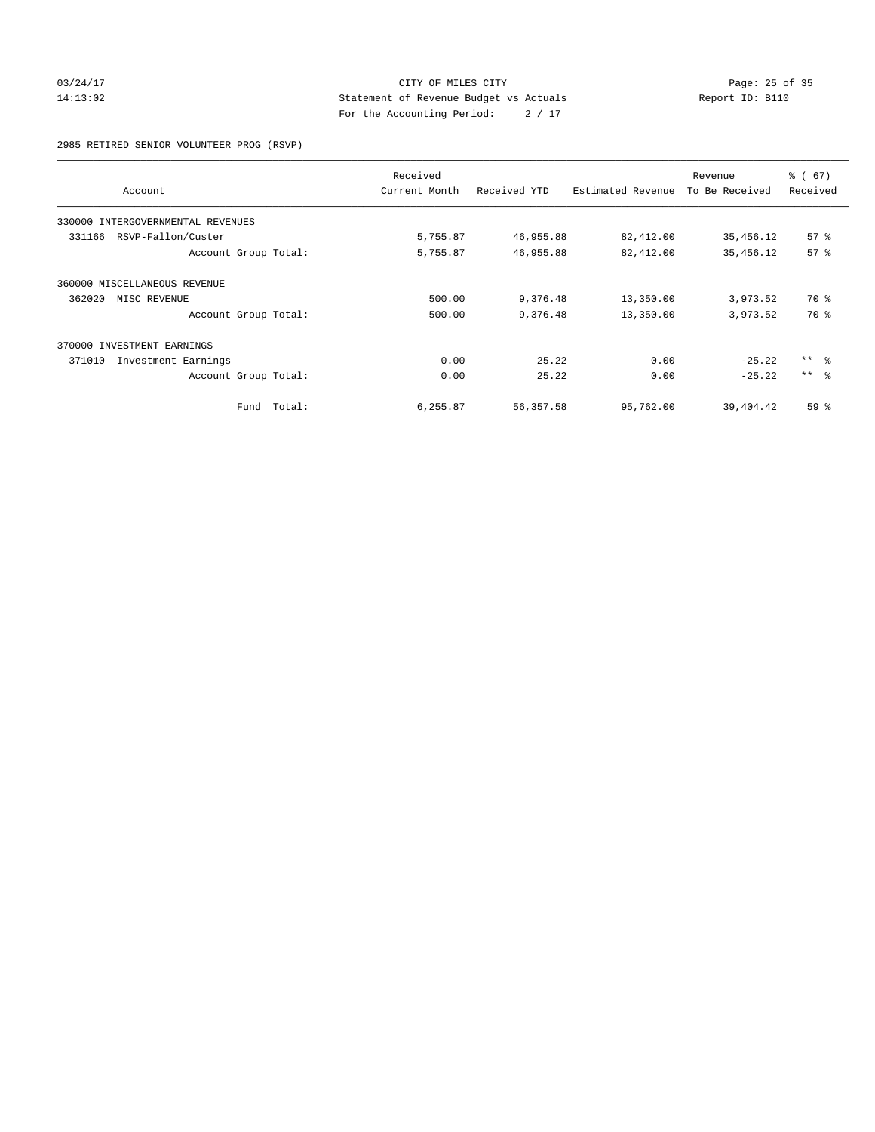# 03/24/17 Page: 25 of 35 14:13:02 Statement of Revenue Budget vs Actuals Report ID: B110 For the Accounting Period: 2 / 17

2985 RETIRED SENIOR VOLUNTEER PROG (RSVP)

|                                   |        | Received      |              |                   | Revenue        | % (67)     |
|-----------------------------------|--------|---------------|--------------|-------------------|----------------|------------|
| Account                           |        | Current Month | Received YTD | Estimated Revenue | To Be Received | Received   |
| 330000 INTERGOVERNMENTAL REVENUES |        |               |              |                   |                |            |
| RSVP-Fallon/Custer<br>331166      |        | 5,755.87      | 46,955.88    | 82,412.00         | 35,456.12      | 57%        |
| Account Group Total:              |        | 5,755.87      | 46,955.88    | 82,412.00         | 35, 456.12     | 57%        |
| 360000 MISCELLANEOUS REVENUE      |        |               |              |                   |                |            |
| 362020<br>MISC REVENUE            |        | 500.00        | 9,376.48     | 13,350.00         | 3,973.52       | 70 %       |
| Account Group Total:              |        | 500.00        | 9,376.48     | 13,350.00         | 3,973.52       | 70 %       |
| 370000 INVESTMENT EARNINGS        |        |               |              |                   |                |            |
| Investment Earnings<br>371010     |        | 0.00          | 25.22        | 0.00              | $-25.22$       | $***$ $ -$ |
| Account Group Total:              |        | 0.00          | 25.22        | 0.00              | $-25.22$       | $***$ $ -$ |
| Fund                              | Total: | 6,255.87      | 56,357.58    | 95,762.00         | 39,404.42      | 59%        |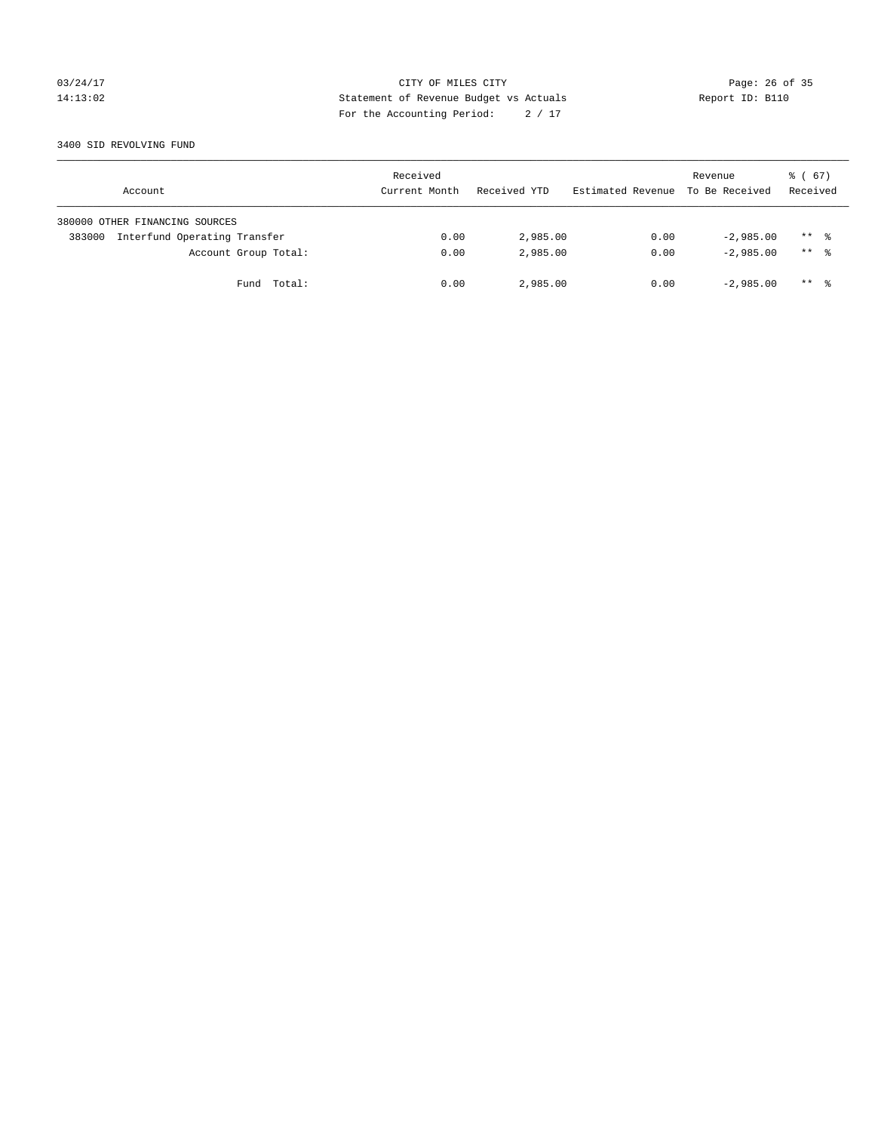# 03/24/17 Page: 26 of 35 14:13:02 Statement of Revenue Budget vs Actuals Report ID: B110 For the Accounting Period: 2 / 17

#### 3400 SID REVOLVING FUND

| Account                                | Received<br>Current Month | Received YTD | Estimated Revenue | Revenue<br>To Be Received | $\frac{1}{6}$ (67)<br>Received |
|----------------------------------------|---------------------------|--------------|-------------------|---------------------------|--------------------------------|
| 380000 OTHER FINANCING SOURCES         |                           |              |                   |                           |                                |
| Interfund Operating Transfer<br>383000 | 0.00                      | 2,985.00     | 0.00              | $-2.985.00$               | $***$ %                        |
| Account Group Total:                   | 0.00                      | 2,985.00     | 0.00              | $-2.985.00$               | $***$ %                        |
| Fund Total:                            | 0.00                      | 2,985.00     | 0.00              | $-2,985.00$               | $***$ %                        |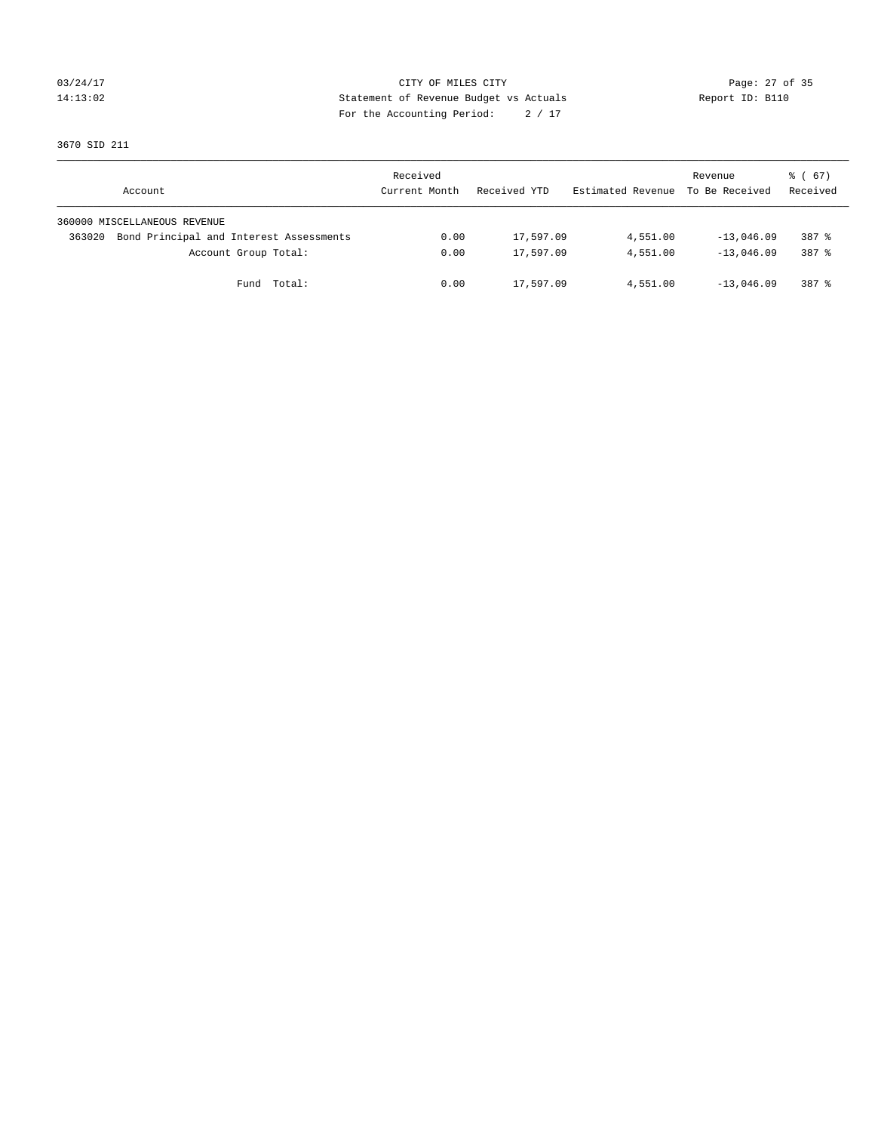# 03/24/17 Page: 27 of 35 14:13:02 Statement of Revenue Budget vs Actuals Report ID: B110 For the Accounting Period: 2 / 17

3670 SID 211

| Account                                           | Received<br>Current Month | Received YTD | Estimated Revenue | Revenue<br>To Be Received | $\frac{1}{6}$ (67)<br>Received |
|---------------------------------------------------|---------------------------|--------------|-------------------|---------------------------|--------------------------------|
| 360000 MISCELLANEOUS REVENUE                      |                           |              |                   |                           |                                |
| Bond Principal and Interest Assessments<br>363020 | 0.00                      | 17,597.09    | 4,551.00          | $-13,046.09$              | 387 %                          |
| Account Group Total:                              | 0.00                      | 17,597.09    | 4,551.00          | $-13.046.09$              | 387 %                          |
| Fund Total:                                       | 0.00                      | 17,597.09    | 4,551.00          | $-13,046.09$              | 387 %                          |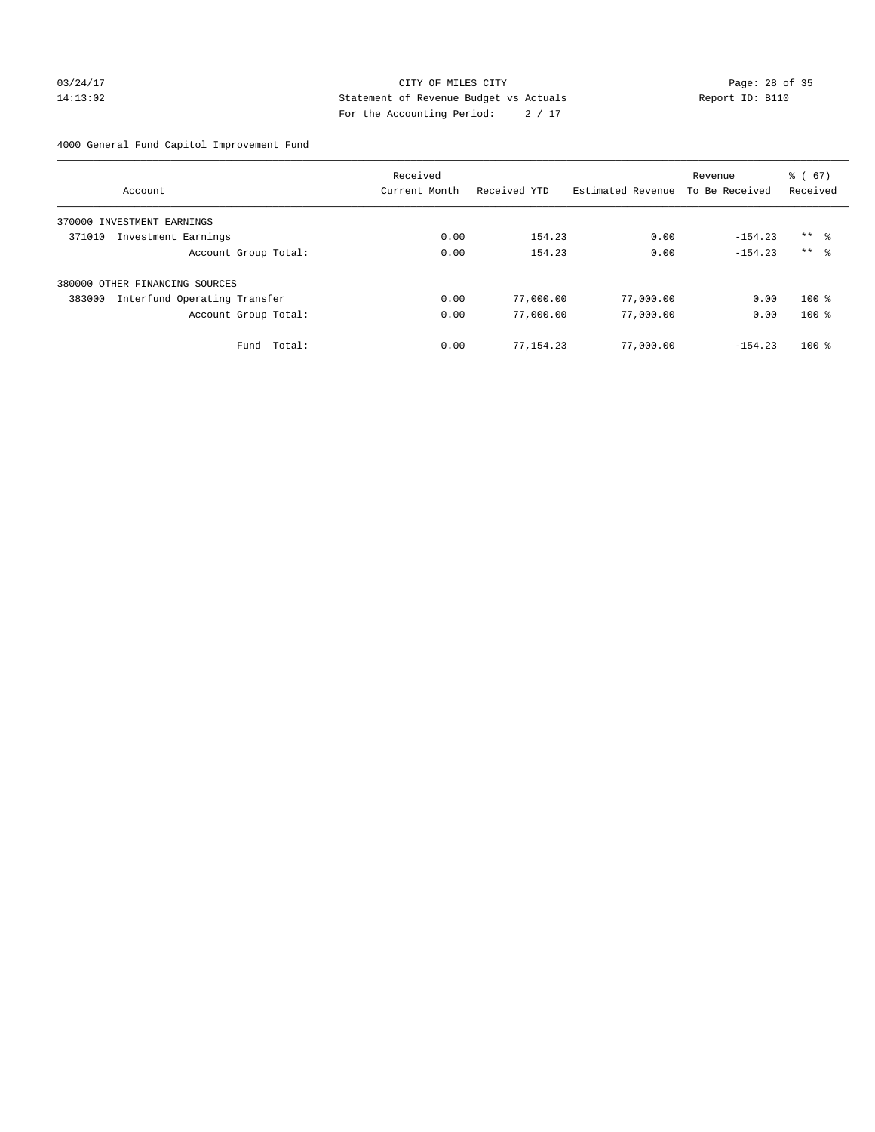# 03/24/17 Page: 28 of 35 14:13:02 Statement of Revenue Budget vs Actuals Report ID: B110 For the Accounting Period: 2 / 17

4000 General Fund Capitol Improvement Fund

|                                        | Received      |              |                   | Revenue        | $\frac{6}{6}$ (67) |
|----------------------------------------|---------------|--------------|-------------------|----------------|--------------------|
| Account                                | Current Month | Received YTD | Estimated Revenue | To Be Received | Received           |
| INVESTMENT EARNINGS<br>370000          |               |              |                   |                |                    |
| 371010<br>Investment Earnings          | 0.00          | 154.23       | 0.00              | $-154.23$      | $***$ $\approx$    |
| Account Group Total:                   | 0.00          | 154.23       | 0.00              | $-154.23$      | $***$ $\approx$    |
| 380000 OTHER FINANCING SOURCES         |               |              |                   |                |                    |
| 383000<br>Interfund Operating Transfer | 0.00          | 77,000.00    | 77,000.00         | 0.00           | $100*$             |
| Account Group Total:                   | 0.00          | 77,000.00    | 77,000.00         | 0.00           | $100*$             |
| Total:<br>Fund                         | 0.00          | 77,154.23    | 77,000.00         | $-154.23$      | $100*$             |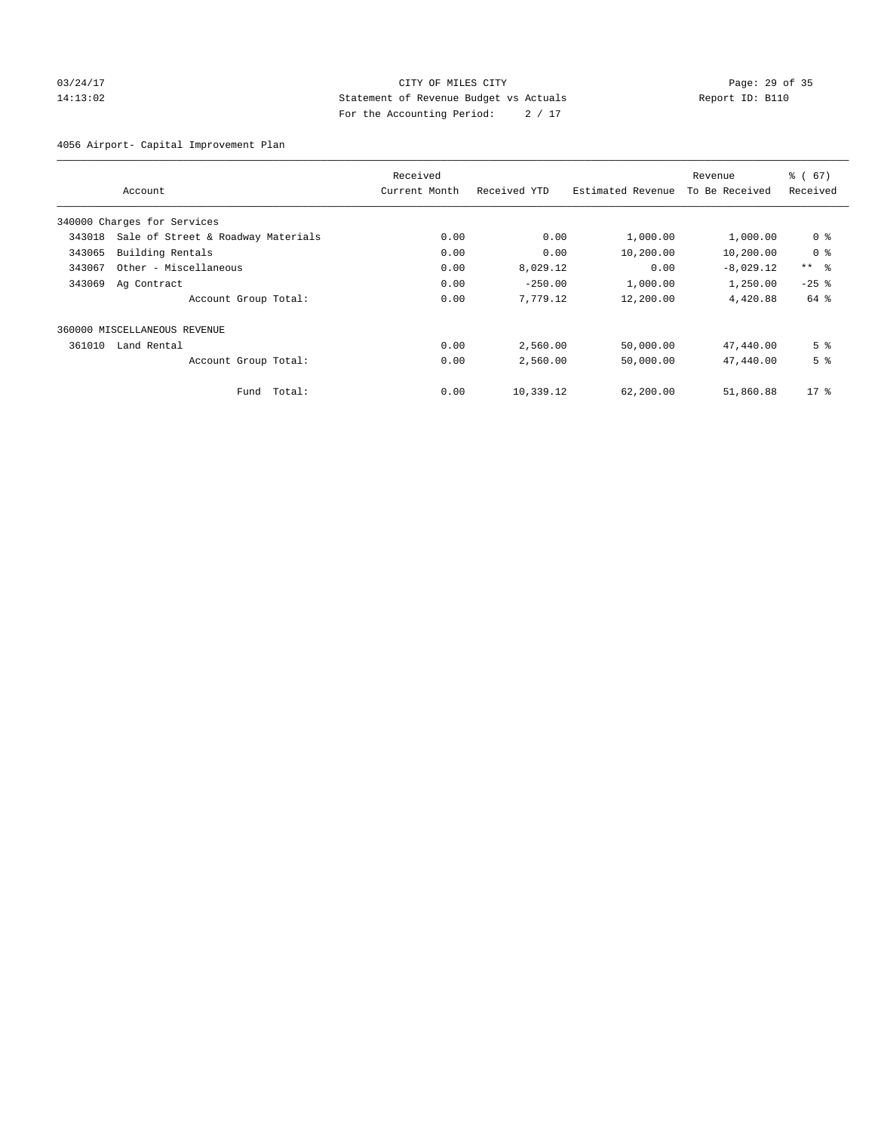# 03/24/17 Page: 29 of 35 14:13:02 Statement of Revenue Budget vs Actuals Report ID: B110 For the Accounting Period: 2 / 17

4056 Airport- Capital Improvement Plan

|        |                                    | Received      |              |                   | Revenue        |                 |  |
|--------|------------------------------------|---------------|--------------|-------------------|----------------|-----------------|--|
|        | Account                            | Current Month | Received YTD | Estimated Revenue | To Be Received | Received        |  |
|        | 340000 Charges for Services        |               |              |                   |                |                 |  |
| 343018 | Sale of Street & Roadway Materials | 0.00          | 0.00         | 1,000.00          | 1,000.00       | 0 <sup>8</sup>  |  |
| 343065 | Building Rentals                   | 0.00          | 0.00         | 10,200.00         | 10,200.00      | 0 <sup>8</sup>  |  |
| 343067 | Other - Miscellaneous              | 0.00          | 8,029.12     | 0.00              | $-8,029.12$    | $***$ $\approx$ |  |
| 343069 | Ag Contract                        | 0.00          | $-250.00$    | 1,000.00          | 1,250.00       | $-25$ $%$       |  |
|        | Account Group Total:               | 0.00          | 7,779.12     | 12,200.00         | 4,420.88       | 64 %            |  |
|        | 360000 MISCELLANEOUS REVENUE       |               |              |                   |                |                 |  |
| 361010 | Land Rental                        | 0.00          | 2,560.00     | 50,000.00         | 47,440.00      | 5 <sup>8</sup>  |  |
|        | Account Group Total:               | 0.00          | 2,560.00     | 50,000.00         | 47,440.00      | 5 <sup>8</sup>  |  |
|        | Total:<br>Fund                     | 0.00          | 10,339.12    | 62,200.00         | 51,860.88      | $17*$           |  |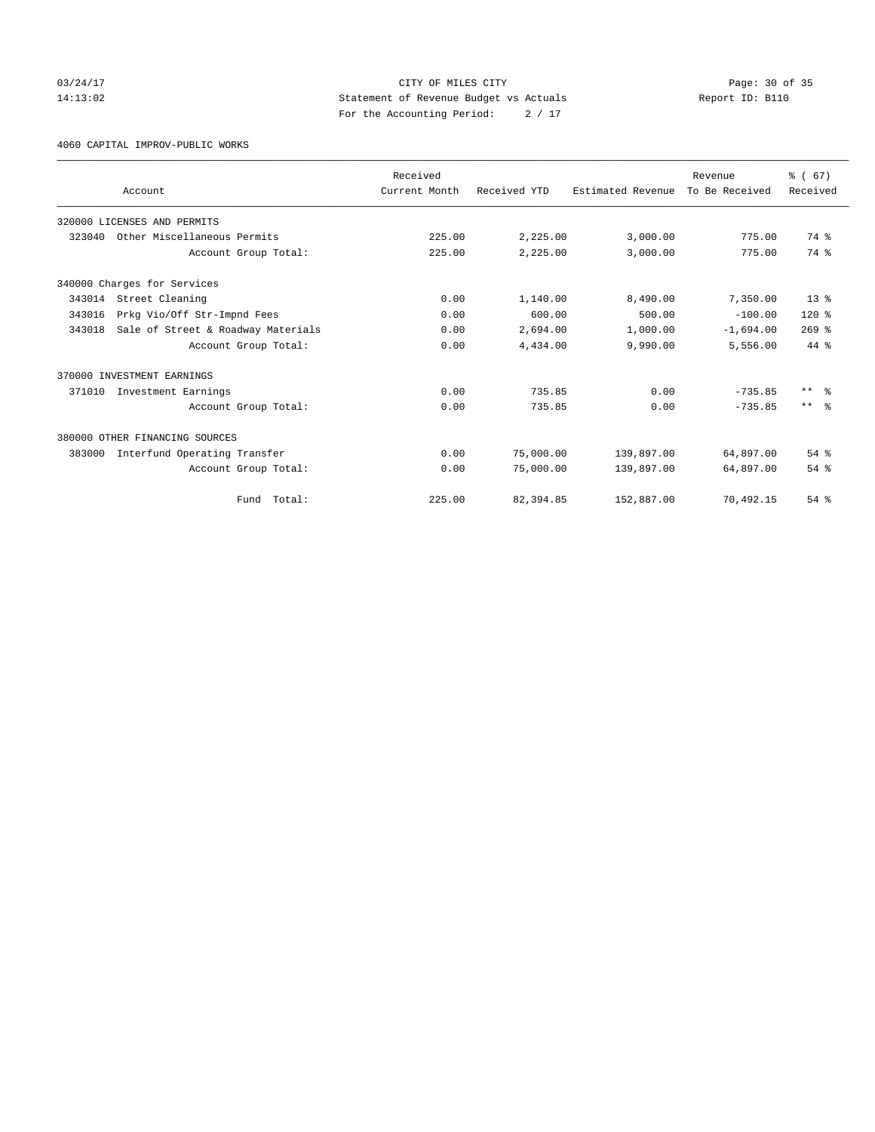03/24/17 Page: 30 of 35 14:13:02 Statement of Revenue Budget vs Actuals Report ID: B110 For the Accounting Period: 2 / 17

4060 CAPITAL IMPROV-PUBLIC WORKS

|        |                                    | Received      |              |                   | Revenue        | % (67)                  |
|--------|------------------------------------|---------------|--------------|-------------------|----------------|-------------------------|
|        | Account                            | Current Month | Received YTD | Estimated Revenue | To Be Received | Received                |
|        | 320000 LICENSES AND PERMITS        |               |              |                   |                |                         |
| 323040 | Other Miscellaneous Permits        | 225.00        | 2,225.00     | 3,000.00          | 775.00         | 74 %                    |
|        | Account Group Total:               | 225.00        | 2,225.00     | 3,000.00          | 775.00         | 74 %                    |
|        | 340000 Charges for Services        |               |              |                   |                |                         |
| 343014 | Street Cleaning                    | 0.00          | 1,140.00     | 8,490.00          | 7,350.00       | $13*$                   |
| 343016 | Prkg Vio/Off Str-Impnd Fees        | 0.00          | 600.00       | 500.00            | $-100.00$      | $120*$                  |
| 343018 | Sale of Street & Roadway Materials | 0.00          | 2,694.00     | 1,000.00          | $-1,694.00$    | $269$ $%$               |
|        | Account Group Total:               | 0.00          | 4,434.00     | 9,990.00          | 5,556.00       | $44*$                   |
|        | 370000 INVESTMENT EARNINGS         |               |              |                   |                |                         |
| 371010 | Investment Earnings                | 0.00          | 735.85       | 0.00              | $-735.85$      | $***$ $=$ $\frac{6}{5}$ |
|        | Account Group Total:               | 0.00          | 735.85       | 0.00              | $-735.85$      | $***$ $=$ $\frac{6}{5}$ |
|        | 380000 OTHER FINANCING SOURCES     |               |              |                   |                |                         |
| 383000 | Interfund Operating Transfer       | 0.00          | 75,000.00    | 139,897.00        | 64,897.00      | $54$ $%$                |
|        | Account Group Total:               | 0.00          | 75,000.00    | 139,897.00        | 64,897.00      | $54$ $%$                |
|        | Fund Total:                        | 225.00        | 82,394.85    | 152,887.00        | 70,492.15      | 54%                     |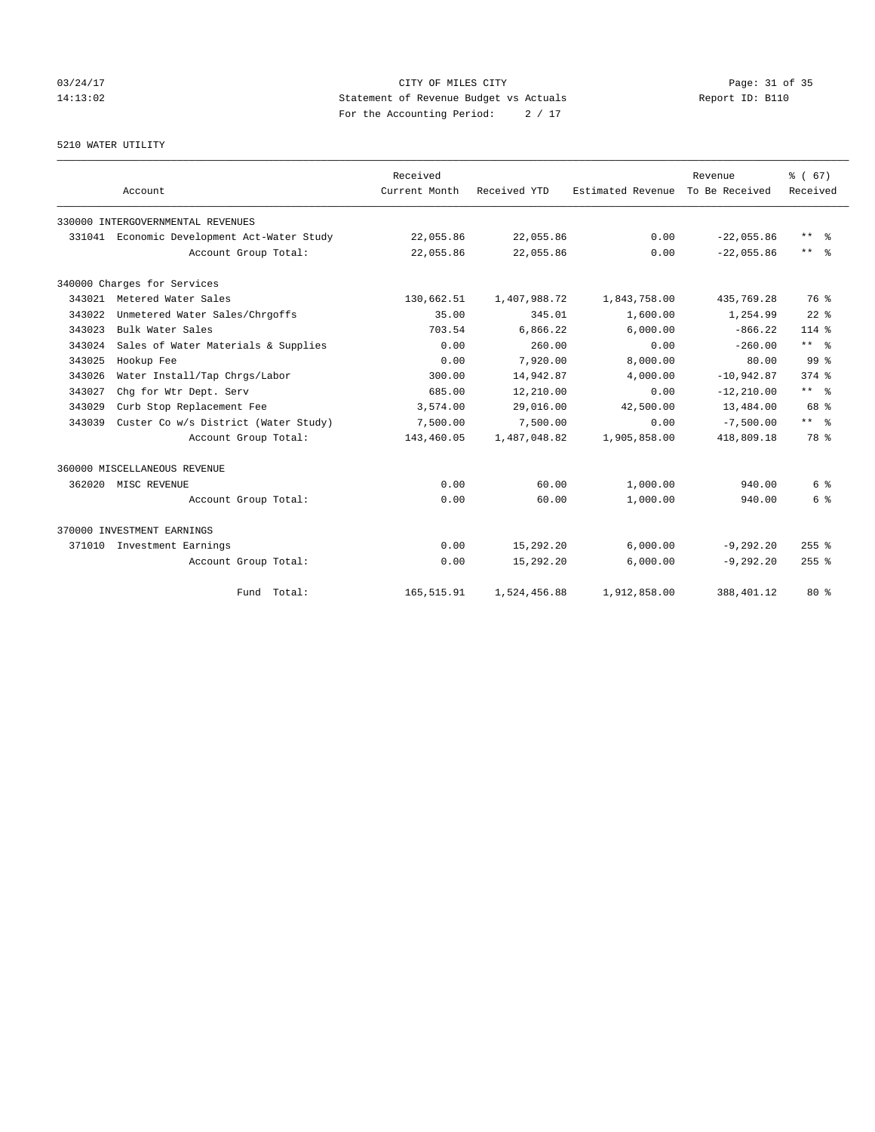# 03/24/17 Page: 31 of 35 14:13:02 Statement of Revenue Budget vs Actuals Report ID: B110 For the Accounting Period: 2 / 17

5210 WATER UTILITY

|        |                                      | Received      |              |                   | Revenue        | % (67)              |
|--------|--------------------------------------|---------------|--------------|-------------------|----------------|---------------------|
|        | Account                              | Current Month | Received YTD | Estimated Revenue | To Be Received | Received            |
|        | 330000 INTERGOVERNMENTAL REVENUES    |               |              |                   |                |                     |
| 331041 | Economic Development Act-Water Study | 22,055.86     | 22,055.86    | 0.00              | $-22.055.86$   | $***$ $=$           |
|        | Account Group Total:                 | 22,055.86     | 22,055.86    | 0.00              | $-22.055.86$   | $***$ $\frac{6}{5}$ |
|        | 340000 Charges for Services          |               |              |                   |                |                     |
| 343021 | Metered Water Sales                  | 130,662.51    | 1,407,988.72 | 1,843,758.00      | 435,769.28     | 76 %                |
| 343022 | Unmetered Water Sales/Chrgoffs       | 35.00         | 345.01       | 1,600.00          | 1,254.99       | $22$ $%$            |
| 343023 | Bulk Water Sales                     | 703.54        | 6,866.22     | 6,000.00          | $-866.22$      | $114*$              |
| 343024 | Sales of Water Materials & Supplies  | 0.00          | 260.00       | 0.00              | $-260.00$      | $***$ $%$           |
| 343025 | Hookup Fee                           | 0.00          | 7,920,00     | 8.000.00          | 80.00          | 99 <sup>8</sup>     |
| 343026 | Water Install/Tap Chrgs/Labor        | 300.00        | 14,942.87    | 4,000.00          | $-10,942.87$   | $374$ $%$           |
| 343027 | Chq for Wtr Dept. Serv               | 685.00        | 12,210.00    | 0.00              | $-12, 210.00$  | $***$ $ -$          |
| 343029 | Curb Stop Replacement Fee            | 3,574.00      | 29,016.00    | 42,500.00         | 13,484.00      | 68 %                |
| 343039 | Custer Co w/s District (Water Study) | 7,500.00      | 7,500.00     | 0.00              | $-7.500.00$    | $***$ $\frac{6}{5}$ |
|        | Account Group Total:                 | 143,460.05    | 1,487,048.82 | 1,905,858.00      | 418,809.18     | 78 %                |
|        | 360000 MISCELLANEOUS REVENUE         |               |              |                   |                |                     |
|        | 362020 MISC REVENUE                  | 0.00          | 60.00        | 1,000.00          | 940.00         | 6 %                 |
|        | Account Group Total:                 | 0.00          | 60.00        | 1,000.00          | 940.00         | 6 %                 |
|        | 370000 INVESTMENT EARNINGS           |               |              |                   |                |                     |
| 371010 | Investment Earnings                  | 0.00          | 15,292.20    | 6,000.00          | $-9, 292.20$   | $255$ $%$           |
|        | Account Group Total:                 | 0.00          | 15,292.20    | 6,000.00          | $-9, 292.20$   | $255$ %             |
|        | Fund Total:                          | 165, 515.91   | 1,524,456.88 | 1,912,858.00      | 388, 401.12    | $80*$               |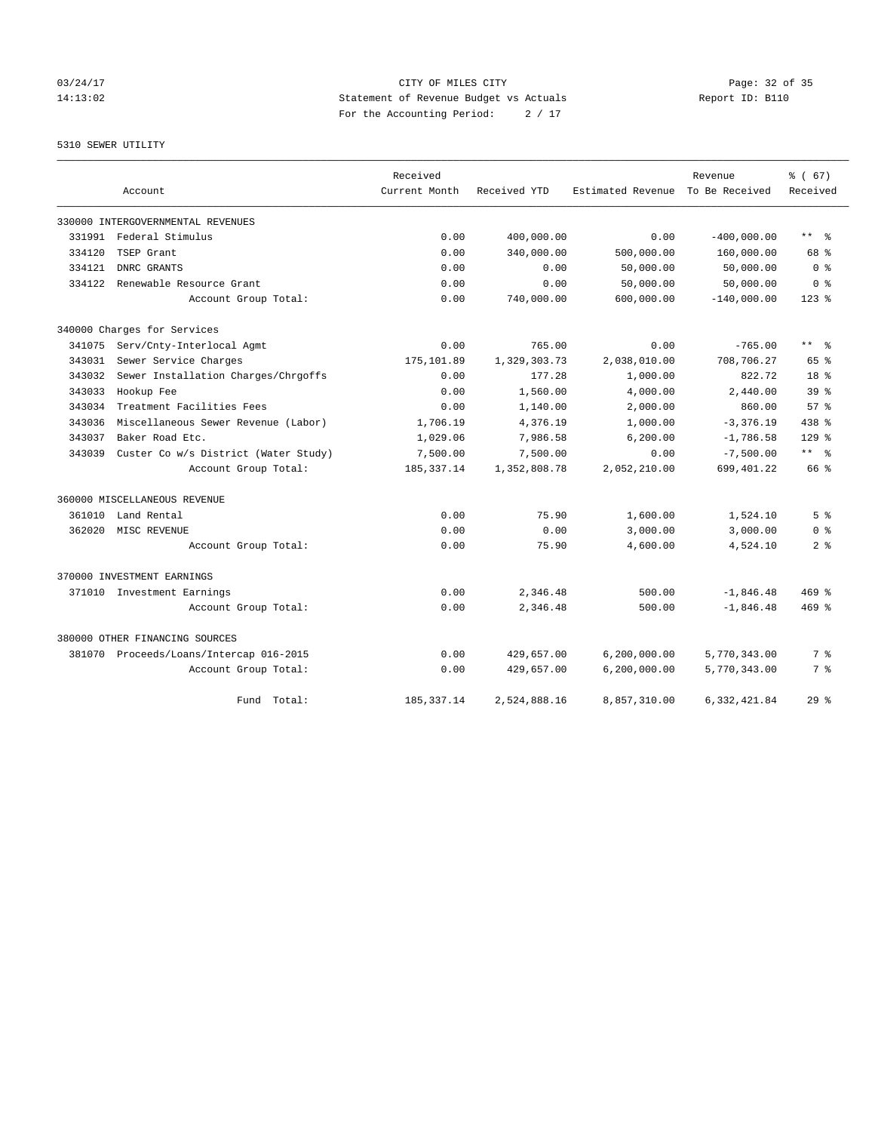# 03/24/17 Page: 32 of 35 14:13:02 Statement of Revenue Budget vs Actuals Report ID: B110 For the Accounting Period: 2 / 17

# 5310 SEWER UTILITY

|        |                                         | Received      |              |                   | Revenue        | % (67)                    |
|--------|-----------------------------------------|---------------|--------------|-------------------|----------------|---------------------------|
|        | Account                                 | Current Month | Received YTD | Estimated Revenue | To Be Received | Received                  |
|        | 330000 INTERGOVERNMENTAL REVENUES       |               |              |                   |                |                           |
|        | 331991 Federal Stimulus                 | 0.00          | 400,000.00   | 0.00              | $-400,000.00$  | $\star\star$<br>$\approx$ |
| 334120 | TSEP Grant                              | 0.00          | 340,000.00   | 500,000.00        | 160,000.00     | 68 %                      |
| 334121 | DNRC GRANTS                             | 0.00          | 0.00         | 50,000.00         | 50,000.00      | 0 <sup>8</sup>            |
| 334122 | Renewable Resource Grant                | 0.00          | 0.00         | 50,000.00         | 50,000.00      | 0 <sup>8</sup>            |
|        | Account Group Total:                    | 0.00          | 740,000.00   | 600,000.00        | $-140,000.00$  | $123$ %                   |
|        | 340000 Charges for Services             |               |              |                   |                |                           |
| 341075 | Serv/Cnty-Interlocal Agmt               | 0.00          | 765.00       | 0.00              | $-765.00$      | ** *                      |
| 343031 | Sewer Service Charges                   | 175,101.89    | 1,329,303.73 | 2,038,010.00      | 708,706.27     | 65 %                      |
| 343032 | Sewer Installation Charges/Chrgoffs     | 0.00          | 177.28       | 1,000.00          | 822.72         | 18 %                      |
| 343033 | Hookup Fee                              | 0.00          | 1,560.00     | 4,000.00          | 2,440.00       | 39 <sup>8</sup>           |
| 343034 | Treatment Facilities Fees               | 0.00          | 1,140.00     | 2,000.00          | 860.00         | 57 <sup>8</sup>           |
| 343036 | Miscellaneous Sewer Revenue (Labor)     | 1,706.19      | 4,376.19     | 1,000.00          | $-3, 376.19$   | 438 %                     |
| 343037 | Baker Road Etc.                         | 1,029.06      | 7,986.58     | 6, 200.00         | $-1,786.58$    | 129%                      |
| 343039 | Custer Co w/s District (Water Study)    | 7,500.00      | 7,500.00     | 0.00              | $-7,500.00$    | $***$ $ -$                |
|        | Account Group Total:                    | 185, 337. 14  | 1,352,808.78 | 2,052,210.00      | 699,401.22     | 66 %                      |
|        | 360000 MISCELLANEOUS REVENUE            |               |              |                   |                |                           |
| 361010 | Land Rental                             | 0.00          | 75.90        | 1,600.00          | 1,524.10       | 5 <sup>8</sup>            |
| 362020 | MISC REVENUE                            | 0.00          | 0.00         | 3,000.00          | 3,000.00       | 0 <sup>8</sup>            |
|        | Account Group Total:                    | 0.00          | 75.90        | 4,600.00          | 4,524.10       | 2 <sup>8</sup>            |
|        | 370000 INVESTMENT EARNINGS              |               |              |                   |                |                           |
|        | 371010 Investment Earnings              | 0.00          | 2,346.48     | 500.00            | $-1,846.48$    | 469%                      |
|        | Account Group Total:                    | 0.00          | 2,346.48     | 500.00            | $-1,846.48$    | $469$ $%$                 |
|        | 380000 OTHER FINANCING SOURCES          |               |              |                   |                |                           |
|        | 381070 Proceeds/Loans/Intercap 016-2015 | 0.00          | 429,657.00   | 6, 200, 000.00    | 5,770,343.00   | 7 %                       |
|        | Account Group Total:                    | 0.00          | 429,657.00   | 6, 200, 000.00    | 5,770,343.00   | 7 %                       |
|        | Total:<br>Fund                          | 185, 337. 14  | 2,524,888.16 | 8,857,310.00      | 6,332,421.84   | 29 <sup>8</sup>           |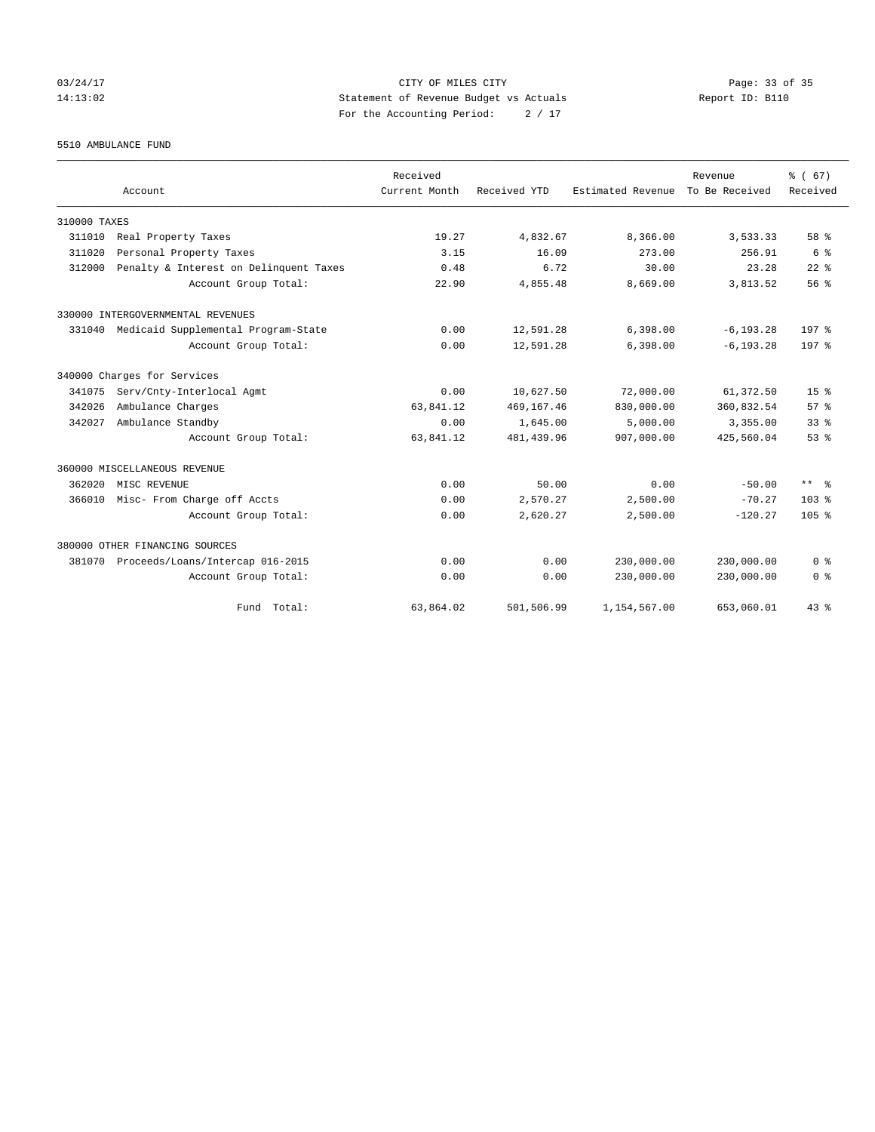03/24/17 Page: 33 of 35 14:13:02 Statement of Revenue Budget vs Actuals Report ID: B110 For the Accounting Period: 2 / 17

5510 AMBULANCE FUND

|              | Account                                | Received<br>Current Month | Received YTD | Estimated Revenue | Revenue<br>To Be Received | % (67)<br>Received  |
|--------------|----------------------------------------|---------------------------|--------------|-------------------|---------------------------|---------------------|
|              |                                        |                           |              |                   |                           |                     |
| 310000 TAXES |                                        |                           |              |                   |                           |                     |
| 311010       | Real Property Taxes                    | 19.27                     | 4,832.67     | 8,366.00          | 3,533.33                  | 58 %                |
| 311020       | Personal Property Taxes                | 3.15                      | 16.09        | 273.00            | 256.91                    | 6 %                 |
| 312000       | Penalty & Interest on Delinquent Taxes | 0.48                      | 6.72         | 30.00             | 23.28                     | $22$ $%$            |
|              | Account Group Total:                   | 22.90                     | 4,855.48     | 8,669.00          | 3,813.52                  | 56%                 |
|              | 330000 INTERGOVERNMENTAL REVENUES      |                           |              |                   |                           |                     |
| 331040       | Medicaid Supplemental Program-State    | 0.00                      | 12,591.28    | 6,398.00          | $-6, 193.28$              | 197 <sub>8</sub>    |
|              | Account Group Total:                   | 0.00                      | 12,591.28    | 6.398.00          | $-6.193.28$               | 197 <sub>8</sub>    |
|              | 340000 Charges for Services            |                           |              |                   |                           |                     |
| 341075       | Serv/Cnty-Interlocal Agmt              | 0.00                      | 10,627.50    | 72,000.00         | 61,372.50                 | 15 <sup>8</sup>     |
| 342026       | Ambulance Charges                      | 63,841.12                 | 469,167.46   | 830,000.00        | 360,832.54                | 57%                 |
| 342027       | Ambulance Standby                      | 0.00                      | 1,645.00     | 5,000.00          | 3,355.00                  | 33 <sup>8</sup>     |
|              | Account Group Total:                   | 63,841.12                 | 481, 439.96  | 907,000.00        | 425,560.04                | 53%                 |
|              | 360000 MISCELLANEOUS REVENUE           |                           |              |                   |                           |                     |
| 362020       | MISC REVENUE                           | 0.00                      | 50.00        | 0.00              | $-50.00$                  | $***$ $\frac{6}{5}$ |
| 366010       | Misc- From Charge off Accts            | 0.00                      | 2,570.27     | 2,500.00          | $-70.27$                  | $103*$              |
|              | Account Group Total:                   | 0.00                      | 2,620.27     | 2,500.00          | $-120.27$                 | $105*$              |
|              | 380000 OTHER FINANCING SOURCES         |                           |              |                   |                           |                     |
| 381070       | Proceeds/Loans/Intercap 016-2015       | 0.00                      | 0.00         | 230,000.00        | 230,000.00                | 0 <sup>8</sup>      |
|              | Account Group Total:                   | 0.00                      | 0.00         | 230,000.00        | 230,000.00                | 0 <sup>8</sup>      |
|              | Fund Total:                            | 63,864.02                 | 501,506.99   | 1,154,567.00      | 653,060.01                | 43.8                |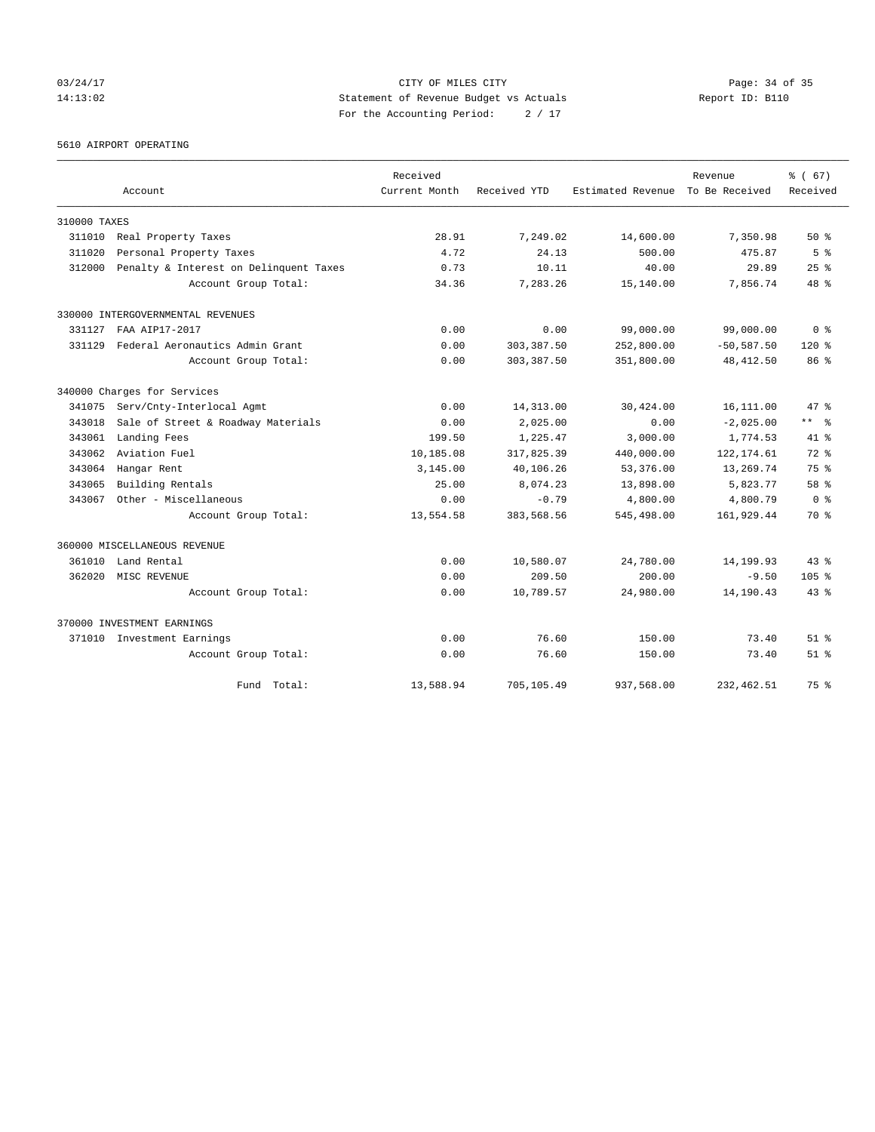03/24/17 Page: 34 of 35 14:13:02 Statement of Revenue Budget vs Actuals Report ID: B110 For the Accounting Period: 2 / 17

5610 AIRPORT OPERATING

|              |                                        | Received      |              |                                  | Revenue       | % (67)                  |
|--------------|----------------------------------------|---------------|--------------|----------------------------------|---------------|-------------------------|
|              | Account                                | Current Month | Received YTD | Estimated Revenue To Be Received |               | Received                |
| 310000 TAXES |                                        |               |              |                                  |               |                         |
| 311010       | Real Property Taxes                    | 28.91         | 7,249.02     | 14,600.00                        | 7,350.98      | $50*$                   |
| 311020       | Personal Property Taxes                | 4.72          | 24.13        | 500.00                           | 475.87        | 5 <sup>8</sup>          |
| 312000       | Penalty & Interest on Delinquent Taxes | 0.73          | 10.11        | 40.00                            | 29.89         | 25%                     |
|              | Account Group Total:                   | 34.36         | 7,283.26     | 15,140.00                        | 7,856.74      | 48 %                    |
|              | 330000 INTERGOVERNMENTAL REVENUES      |               |              |                                  |               |                         |
| 331127       | FAA AIP17-2017                         | 0.00          | 0.00         | 99,000.00                        | 99,000.00     | 0 <sup>8</sup>          |
| 331129       | Federal Aeronautics Admin Grant        | 0.00          | 303, 387.50  | 252,800.00                       | $-50, 587.50$ | $120*$                  |
|              | Account Group Total:                   | 0.00          | 303, 387.50  | 351,800.00                       | 48, 412.50    | 86 <sup>8</sup>         |
|              | 340000 Charges for Services            |               |              |                                  |               |                         |
| 341075       | Serv/Cnty-Interlocal Agmt              | 0.00          | 14,313.00    | 30,424.00                        | 16,111.00     | 47.8                    |
| 343018       | Sale of Street & Roadway Materials     | 0.00          | 2,025.00     | 0.00                             | $-2,025.00$   | $***$ $=$ $\frac{6}{5}$ |
| 343061       | Landing Fees                           | 199.50        | 1,225.47     | 3,000.00                         | 1,774.53      | 41 %                    |
| 343062       | Aviation Fuel                          | 10,185.08     | 317,825.39   | 440,000.00                       | 122, 174.61   | $72*$                   |
| 343064       | Hangar Rent                            | 3,145.00      | 40,106.26    | 53,376.00                        | 13,269.74     | 75 %                    |
| 343065       | Building Rentals                       | 25.00         | 8,074.23     | 13,898.00                        | 5,823.77      | 58 %                    |
| 343067       | Other - Miscellaneous                  | 0.00          | $-0.79$      | 4,800.00                         | 4,800.79      | 0 <sup>8</sup>          |
|              | Account Group Total:                   | 13,554.58     | 383,568.56   | 545,498.00                       | 161,929.44    | 70 %                    |
|              | 360000 MISCELLANEOUS REVENUE           |               |              |                                  |               |                         |
| 361010       | Land Rental                            | 0.00          | 10,580.07    | 24,780.00                        | 14,199.93     | $43*$                   |
| 362020       | MISC REVENUE                           | 0.00          | 209.50       | 200.00                           | $-9.50$       | 105 <sub>8</sub>        |
|              | Account Group Total:                   | 0.00          | 10,789.57    | 24,980.00                        | 14,190.43     | $43*$                   |
|              | 370000 INVESTMENT EARNINGS             |               |              |                                  |               |                         |
|              | 371010 Investment Earnings             | 0.00          | 76.60        | 150.00                           | 73.40         | $51$ $%$                |
|              | Account Group Total:                   | 0.00          | 76.60        | 150.00                           | 73.40         | $51$ $%$                |
|              | Fund Total:                            | 13,588.94     | 705,105.49   | 937,568.00                       | 232, 462.51   | 75 %                    |